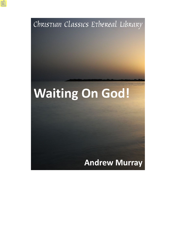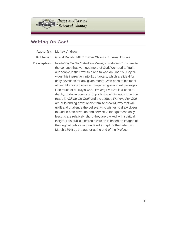

## **Waiting On God!**

**Author(s):** Murray, Andrew **Publisher:** Grand Rapids, MI: Christian Classics Ethereal Library **Description:** In *Waiting On God!*, Andrew Murray introduces Christians to the concept that we need more of God. We need to "train our people in their worship and to wait on God." Murray divides this instruction into 31 chapters, which are ideal for daily devotions for any given month. With each of his mediations, Murray provides accompanying scriptural passages. Like much of Murray's work, *Waiting On God!*is a book of depth, producing new and important insights every time one reads it.*Waiting On God!* and the sequel, *Working For God* are outstanding devotionals from Andrew Murray that will uplift and challenge the believer who wishes to draw closer to God in both devotion and service. Although these daily lessons are relatively short, they are packed with spiritual insight. This public electronic version is based on images of the original publication, undated except for the date (3rd March 1894) by the author at the end of the Preface.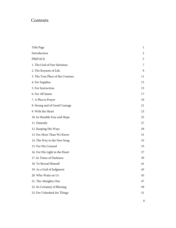## Contents

| Title Page                         | $\mathbf{1}$   |
|------------------------------------|----------------|
| Introduction                       | $\overline{c}$ |
| <b>PREFACE</b>                     | 5              |
| 1. The God of Our Salvation.       | 7              |
| 2. The Keynote of Life.            | 9              |
| 3. The True Place of the Creature. | 11             |
| 4. For Supplies.                   | 13             |
| 5. For Instruction.                | 15             |
| 6. For All Saints                  | 17             |
| 7. A Plea in Prayer                | 19             |
| 8. Strong and of Good Courage      | 21             |
| 9. With the Heart                  | 23             |
| 10. In Humble Fear and Hope        | 25             |
| 11. Patiently                      | 27             |
| 12. Keeping His Ways               | 29             |
| 13. For More Than We Know          | 31             |
| 14. The Way to the New Song        | 33             |
| 15. For His Counsel                | 35             |
| 16. For His Light in the Heart     | 37             |
| 17. In Times of Darkness           | 39             |
| 18. To Reveal Himself              | 41             |
| 19. As a God of Judgment           | 43             |
| 20. Who Waits on Us                | 45             |
| 21. The Almighty One               | 47             |
| 22. Its Certainty of Blessing      | 49             |
| 23. For Unlooked-for Things        | 51             |
|                                    |                |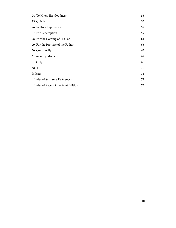| 24. To Know His Goodness            | 53 |
|-------------------------------------|----|
| 25. Quietly                         | 55 |
| 26. In Holy Expectancy              | 57 |
| 27. For Redemption                  | 59 |
| 28. For the Coming of His Son       | 61 |
| 29. For the Promise of the Father   | 63 |
| 30. Continually                     | 65 |
| Moment by Moment                    | 67 |
| $31.$ Only                          | 68 |
| <b>NOTE</b>                         | 70 |
| Indexes                             | 71 |
| Index of Scripture References       | 72 |
| Index of Pages of the Print Edition | 73 |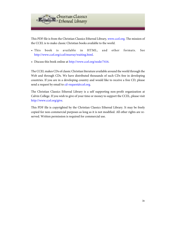

This PDF file is from the Christian Classics Ethereal Library, [www.ccel.org.](http://www.ccel.org) The mission of the CCEL is to make classic Christian books available to the world.

- This book is available in HTML, and other formats. See <http://www.ccel.org/ccel/murray/waiting.html>.
- Discuss this book online at [http://www.ccel.org/node/7416.](http://www.ccel.org/node/7416)

The CCEL makes CDs of classic Christian literature available around the world through the Web and through CDs. We have distributed thousands of such CDs free in developing countries. If you are in a developing country and would like to receive a free CD, please send a request by email to [cd-request@ccel.org.](mailto:cd-request@ccel.org)

The Christian Classics Ethereal Library is a self supporting non-profit organization at Calvin College. If you wish to give of your time or money to support the CCEL, please visit [http://www.ccel.org/give.](http://www.ccel.org/give)

This PDF file is copyrighted by the Christian Classics Ethereal Library. It may be freely copied for non-commercial purposes as long as it is not modified. All other rights are reserved. Written permission is required for commercial use.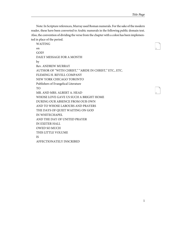4

<span id="page-5-0"></span>Note: In Scripture references, Murray used Roman numerals. For the sake of the modern reader, these have been converted to Arabic numerals in the following public domain text. Also, the convention of dividing the verse from the chapter with a colon has been implemented in place of the period.

WAITING on GOD! DAILY MESSAGE FOR A MONTH by Rev. ANDREW MURRAY AUTHOR OF "WITH CHRIST," "ABIDE IN CHRIST," ETC., ETC. FLEMING H. REVELL COMPANY NEW YORK CHICAGO TORONTO Publishers of Evangelical Literature TO MR. AND MRS. ALBERT A. HEAD WHOSE LOVE GAVE US SUCH A BRIGHT HOME DURING OUR ABSENCE FROM OUR OWN AND TO WHOSE LABOURS AND PRAYERS THE DAYS OF QUIET WAITING ON GOD IN WHITECHAPEL AND THE DAY OF UNITED PRAYER IN EXETER HALL OWED SO MUCH THIS LITTLE VOLUME IS AFFECTIONATELY INSCRIBED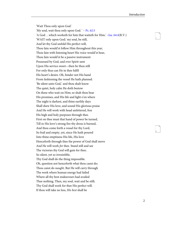8

<span id="page-6-0"></span>'Wait Thou only upon God.' 'My soul, wait thou only upon God. ' – [Ps. 62:5](http://www.ccel.org/study/Bible:Ps.62.5) 'A God . . which worketh for him that waiteth for Him.' [–Isa. 64:4](http://www.ccel.org/study/Bible:Isa.64.4)(R.V.) 'WAIT only upon God;' my soul, be still, And let thy God unfold His perfect will, Thou fain would'st follow Him throughout this year, Thou fain with listening heart His voice would'st hear, Thou fain would'st be a passive instrument Possessed by God, and ever Spirit-sent Upon His service sweet—then be thou still For only thus can He in thee fulfil His heart's desire. Oh, hinder not His hand From fashioning the vessel He hath planned. 'Be silent unto God,' and thou shalt know The quiet, holy calm He doth bestow On these who wait on Him; so shalt thou bear His promises, and His life and light e'en where The night is darkest, and thine earthly days Shall shew His love, and sound His glorious praise And He will work with head unfettered, free His high and holy purposes through thee. First on thee must that hand of power be turned, Till in His love's strong fire thy dross is burned, And thou come forth a vessel for thy Lord, So frail and empty, yet, since He hath poured Into thine emptiness His life, His love Henceforth through thee the power of God shall move And He will work for thee. Stand still and see The victories thy God will gain for thee; So silent, yet so irresistible, Thy God shall do the thing impossible. Oh, question not henceforth what thou canst do; Thou canst do naught. But He will carry through The work where human energy had failed Where all thy best endeavours had availed Thee nothing. Then, my soul, wait and be still; Thy God shall work for thee His perfect will. If thou will take no less, His best shall be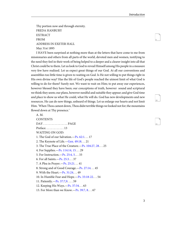10

11

Thy portion now and through eternity. FREDA HANBURY EXTRACT FROM ADDRESS IN EXETER HALL May 31st 1895

I HAVE been surprised at nothing more than at the letters that have come to me from missionaries and others from all parts of the world, devoted men and women, testifying to the need they feel in their work of being helped to a deeper and a clearer insight into all that Christ could be to them. Let us look to God to reveal Himself among His people in a measure very few have realized. Let us expect great things of our God. At all our conventions and assemblies too little time is given to waiting on God. Is He not willing to put things right in His own divine way? Has the life of God's people reached the utmost limit of what God is willing to do for them? Surely not. We want to wait on Him; to put away our experiences, however blessed they have been; our conceptions of truth, however sound and scriptural we think they seem; our plans, however needful and suitable they appear; and give God time and place to show us what He could, what He will do. God has new developments and new resources. He can do new things, unheard of things. Let us enlarge our hearts and not limit Him. 'When Thou camest down, Thou didst terrible things we looked not for; the mountains flowed down at Thy presence.'

A. M. **CONTENTS** DAY . . . . . . . . . . . . . . . . . PAGE Preface. . . . . . . . . . . . . 13 WAITING ON GOD: 1. The God of our Salvation.—[Ps. 62:1](http://www.ccel.org/study/Bible:Ps.62.1). . . 17 2. The Keynote of Life.[—Gen. 49:18](http://www.ccel.org/study/Bible:Gen.49.18). . . 21 3. The True Place of the Creature.—[Ps. 104:27, 28.](http://www.ccel.org/study/Bible:Ps.104.27-Ps.104.28) . . 25 4. For Supplies.—[Ps. 114:14, 15.](http://www.ccel.org/study/Bible:Ps.114.14-Ps.114.15) . . 29 5. For Instruction.—[Ps. 25:4, 5](http://www.ccel.org/study/Bible:Ps.25.4-Ps.25.5). . . 33 6. For all Saints.[—Ps. 25:3.](http://www.ccel.org/study/Bible:Ps.25.3) . . 37 7. A Plea in Prayer.[—Ps. 25:21](http://www.ccel.org/study/Bible:Ps.25.21). . . 41 8. Strong and of Good Courage.[—Ps. 27:14](http://www.ccel.org/study/Bible:Ps.27.14). . . 45 9. With the Heart.[—Ps. 31:24.](http://www.ccel.org/study/Bible:Ps.31.24) . . 49 10. In Humble Fear and Hope.—[Ps. 33:18-22](http://www.ccel.org/study/Bible:Ps.33.18-Ps.33.22). . . 54 11. Patiently.[—Ps. 37:7](http://www.ccel.org/study/Bible:Ps.37.7),[9.](http://www.ccel.org/study/Bible:Ps.37.9) . . . 59 12. Keeping His Ways.—[Ps. 37:34.](http://www.ccel.org/study/Bible:Ps.37.34) . . 63

13. For More than we Know.—[Ps. 39:7, 8.](http://www.ccel.org/study/Bible:Ps.39.7-Ps.39.8) . . 67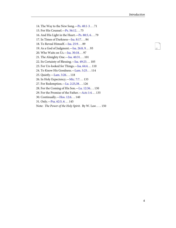14. The Way to the New Song.—[Ps. 40:1-3.](http://www.ccel.org/study/Bible:Ps.40.1-Ps.40.3) . . 71

15. For His Counsel.[—Ps. 56:12](http://www.ccel.org/study/Bible:Ps.56.12). . . 75

16. And His Light in the Heart.[—Ps. 80:5, 6.](http://www.ccel.org/study/Bible:Ps.80.5-Ps.80.6) . . 79

17. In Times of Darkness[—Isa. 8:17](http://www.ccel.org/study/Bible:Isa.8.17). . . 84

18. To Reveal Himself.—[Isa. 25:9.](http://www.ccel.org/study/Bible:Isa.25.9) . . 89

19. As a God of Judgment.[—Isa. 26:8, 9](http://www.ccel.org/study/Bible:Isa.26.8-Isa.26.9). . . 93

20. Who Waits on Us.—[Isa. 30:18.](http://www.ccel.org/study/Bible:Isa.30.18) . . 97

21. The Almighty One.[—Isa. 40:31](http://www.ccel.org/study/Bible:Isa.40.31). . . 101

22. Its Certainty of Blessing.—[Isa. 49:23.](http://www.ccel.org/study/Bible:Isa.49.23) . . 105

23. For Un-looked for Things.—[Isa. 64:4.](http://www.ccel.org/study/Bible:Isa.64.4) . . 110

24. To Know His Goodness.—[Lam. 3:25.](http://www.ccel.org/study/Bible:Lam.3.25) . . 114

25. Quietly.[—Lam. 3:26](http://www.ccel.org/study/Bible:Lam.3.26). . . 118

26. In Holy Expectency.[—Mic. 7:7.](http://www.ccel.org/study/Bible:Mic.7.7) . . 133

27. For Redemption.—[Lu. 2:25](http://www.ccel.org/study/Bible:Luke.2.25)[,38](http://www.ccel.org/study/Bible:Luke.2.38). . . 126

28. For the Coming of His Son.[—Lu. 12:36.](http://www.ccel.org/study/Bible:Luke.12.36) . . 130

29. For the Promise of the Father.[—Acts 1:4](http://www.ccel.org/study/Bible:Acts.1.4). . . 135

30. Continually.—[Hos. 12:6](http://www.ccel.org/study/Bible:Hos.12.6). . . 140

31. Only.[—Psa. 62:5, 6.](http://www.ccel.org/study/Bible:Ps.62.5-Ps.62.6) . . 145

Note: The Power of the Holy Spirit. By W. Law. . . . 150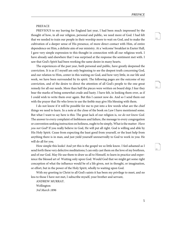14

15

## PREFACE

<span id="page-9-0"></span>PREVIOUS to my leaving for England last year, I had been much impressed by the thought of how, in all our religion, personal and public, we need more of God. I had felt that we needed to train our people in their worship more to wait on God, and to make the cultivation of a deeper sense of His presence, of more direct contact with Him, of entire dependence on Him, a definite aim of our ministry. At a 'welcome' breakfast in Exeter Hall, I gave very simple expression to this thought in connection with all our religious work. I have already said elsewhere that I was surprised at the response the sentiment met with. I saw that God's Spirit had been working the same desire in many hearts.

The experiences of the past year, both personal and public, have greatly deepened the conviction. It is as if I myself am only beginning to see the deepest truth concerning God, and our relation to Him, center in this waiting on God, and how very little, in our life and work, we have been surrounded by its spirit. The following pages are the outcome of my conviction, and of the desire to direct the attention of all God's people to the one great remedy for all our needs. More than half the pieces were written on board ship; I fear they bear the marks of being somewhat crude and hasty. I have felt, in looking them over, as if I could wish to write them over again. But this I cannot now do. And so I send them out with the prayer that He who loves to use the feeble may give His blessing with them.

I do not know if it will be possible for me to put into a few words what are the chief things we need to learn. In a note at the close of the book on Law I have mentioned some. But what I want to say here is this: The great lack of our religion is, we do not know God. The answer to every complaint of feebleness and failure, the message to every congregation or convention seeking instruction on holiness, ought to be simply, What is the matter: Have you not God? If you really believe in God, He will put all right. God is willing and able by His Holy Spirit. Cease from expecting the least good from yourself, or the least help from anything there is in man, and just yield yourself unreservedly to God to work in you: He will do all for you.

How simple this looks! And yet this is the gospel we so little know. I feel ashamed as I send forth these very defective meditations; I can only cast them on the love of my brethren, and of our God. May He use them to draw us all to Himself, to learn in practice and experience the blessed art of Waiting only upon God. Would God that we might get some right conception of what the influence would be of a life given, not in thought, or imagination, or effort, but in the power of the Holy Spirit, wholly to waiting upon God.

With my greeting in Christ to all God's saints it has been my privilege to meet, and no less to those I have not met, I subscribe myself, your brother and servant,

ANDREW MURRAY. Wellington 3rd March 1896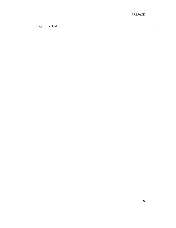[Page 16 is blank]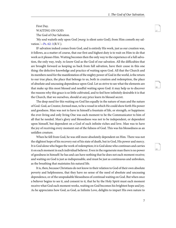18

19

<span id="page-11-0"></span>First Day. WAITING ON GOD: The God of Our Salvation.

'My soul waiteth only upon God [*marg*: is silent unto God]; from Him cometh my salvation.'—Ps.  $62: 1(R.V.).$ 

IF salvation indeed comes from God, and is entirely His work, just as our creation was, it follows, as a matter of course, that our first and highest duty is to wait on Him to do that work as it pleases Him. Waiting becomes then the only way to the experience of a full salvation, the only way, truly, to know God as the God of our salvation. All the difficulties that are brought forward as keeping us back from full salvation, have their cause in this one thing: the defective knowledge and practice of waiting upon God. All that the Church and its members need for the manifestation of the mighty power of God in the world, is the return to our true place, the place that belongs to us, both in creation and redemption, the place of absolute and unceasing dependence upon God. Let us strive to see what the elements are that make up this most blessed and needful waiting upon God: it may help us to discover the reasons why this grace is so little cultivated, and to feel how infinitely desirable it is that the Church, that we ourselves, should at any price learn its blessed secret.

The deep need for this waiting on God lies equally in the nature of man and the nature of God. God, as Creator, formed man, to be a vessel in which He could show forth His power and goodness. Man was not to have in himself a fountain of life, or strength, or happiness: the ever-living and only living One was each moment to be the Communicator to him of all that he needed. Man's glory and blessedness was not to be independent, or dependent upon himself, but dependent on a God of such infinite riches and love. Man was to have the joy of receiving every moment out of the fulness of God. This was his blessedness as an unfallen creature.

When he fell from God, he was still more absolutely dependent on Him. There was not the slightest hope of his recovery out of his state of death, but in God, His power and mercy. It is God alone who began the work of redemption; it is God alone who continues and carries it on each moment in each individual believer. Even in the regenerate man there is no power of goodness in himself: he has and can have nothing that he does not each moment receive; and waiting on God is just as indispensable, and must be just as continuous and unbroken, as the breathing that maintains his natural life.

It is, then, because Christians do not know in their relation to God of their own absolute poverty and helplessness, that they have no sense of the need of absolute and unceasing dependence, or of the unspeakable blessedness of continual waiting on God. But when once a believer begins to see it, and consent to it, that he by the Holy Spirit must each moment receive what God each moment works, waiting on God becomes his brightest hope and joy. As he appreciates how God, as God, as Infinite Love, delights to impart His own nature to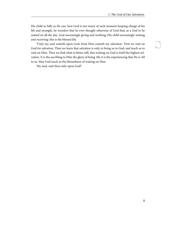His child as fully as He can, how God is not weary of each moment keeping charge of his life and strength, he wonders that he ever thought otherwise of God than as a God to be waited on all the day. God unceasingly giving and working; His child unceasingly waiting and receiving: this is the blessed life.

'Truly my soul waiteth upon God; from Him cometh my salvation.' First we wait on God for salvation. Then we learn that salvation is only to bring us to God, and teach us to wait on Him. Then we find what is better still, that waiting on God is itself the highest salvation. It is the ascribing to Him the glory of being All; it is the experiencing that He is All to us. May God teach us the blessedness of waiting on Him.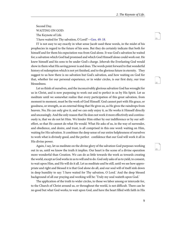22

23

<span id="page-13-0"></span>Second Day. WAITING ON GOD: The Keynote of Life. 'I have waited for Thy salvation, O Lord!'[—Gen. 49: 18.](http://www.ccel.org/study/Bible:Gen.49.18)

IT is not easy to say exactly in what sense Jacob used these words, in the midst of his prophecies in regard to the future of his sons. But they do certainly indicate that both for himself and for them his expectation was from God alone. It was God's salvation he waited for; a salvation which God had promised and which God Himself alone could work out. He knew himself and his sons to be under God's charge. Jehovah the Everlasting God would show in them what His saving power is and does. The words point forward to that wonderful history of redemption which is not yet finished, and to the glorious future in eternity. They suggest to us how there is no salvation but God's salvation, and how waiting on God for that, whether for our personal experience, or in wider circles, is our first duty, our true blessedness.

Let us think of ourselves, and the inconceivably glorious salvation God has wrought for us in Christ, and is now purposing to work out and to perfect in us by His Spirit. Let us meditate until we somewhat realize that every participation of this great salvation, from moment to moment, must be the work of God Himself. God cannot part with His grace, or goodness, or strength, as an external thing that He gives us, as He gives the raindrops from heaven. No; He can only give it, and we can only enjoy it, as He works it Himself directly and unceasingly. And the only reason that He does not work it more effectively and continuously is, that we do not let Him. We hinder Him either by our indifference or by our selfeffort, so that He cannot do what He would. What He asks of us, in the way of surrender, and obedience, and desire, and trust, is all comprised in this one word: waiting on Him, waiting for His salvation. It combines the deep sense of our entire helplessness of ourselves to work what is divinely good, and the perfect confidence that our God will work it all in His divine power.

Again, I say, let us meditate on the divine glory of the salvation God purposes working out in us, until we know the truth it implies. Our heart is the scene of a divine operation more wonderful than Creation. We can do as little towards the work as towards creating the world, except as God works in us to will and to do. God only asks of us to yield, to consent, to wait upon Him, and He will do it all. Let us meditate and be still, until we see how appropriate and right and blessed it is that God alone do all, and our soul will of itself sink down in deep humility to say: 'I have waited for Thy salvation, O Lord.' And the deep blessed background of all our praying and working will be: 'Truly my soul waiteth upon God.'

The application of the truth to wider circles, to those we labor among or intercede for, to the Church of Christ around us, or throughout the world, is not difficult. There can be no good but what God works; to wait upon God, and have the heart filled with faith in His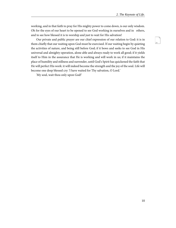working, and in that faith to pray for His mighty power to come down, is our only wisdom. Oh for the eyes of our heart to be opened to see God working in ourselves and in others, and to see how blessed it is to worship and just to wait for His salvation!

Our private and public prayer are our chief expression of our relation to God: it is in them chiefly that our waiting upon God must be exercised. If our waiting begin by quieting the activities of nature, and being still before God; if it bows and seeks to see God in His universal and almighty operation, alone able and always ready to work all good; if it yields itself to Him in the assurance that He is working and will work in us; if it maintains the place of humility and stillness and surrender, until God's Spirit has quickened the faith that He will perfect His work: it will indeed become the strength and the joy of the soul. Life will become one deep blessed cry: 'I have waited for Thy salvation, O Lord.'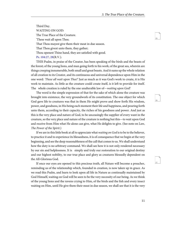26

27

<span id="page-15-0"></span>Third Day. WAITING ON GOD: The True Place of the Creature. 'These wait all upon Thee; That Thou mayest give them their meat in due season. That Thou givest unto them, they gather; Thou openest Thine hand, they are satisfied with good. [Ps. 104:27, 28\(](http://www.ccel.org/study/Bible:Ps.104.27-Ps.104.28)R.V.).

THIS Psalm, in praise of the Creator, has been speaking of the birds and the beasts of the forest; of the young lions, and man going forth to his work; of the great sea, wherein are things creeping innumerable, both small and great beasts. And it sums up the whole relation of all creation to its Creator, and its continuous and universal dependence upon Him in the one word: 'These all wait upon Thee!' Just as much as it was God's work to create, it is His work to maintain. As little as the creature could create itself, is it left to provide for itself. The whole creation is ruled by the one unalterable law of—*waiting upon God!* 

The word is the simple expression of that for the sake of which alone the creature was brought into existence, the very groundwork of its constitution. The one object for which God gave life to creatures was that in them He might prove and show forth His wisdom, power, and goodness, in His being each moment their life and happiness, and pouring forth unto them, according to their capacity, the riches of his goodness and power. And just as this is the very place and nature of God, to be unceasingly the supplier of every want in the creature, so the very place and nature of the creature is nothing but this—to wait upon God and receive from Him what He alone can give, what He delights to give. (See note on Law, The Power of the Spirit.)

If we are in this little book at all to appreciate what waiting on God is to be to the believer, to practice it and to experience its blessedness, it is of consequence that we begin at the very beginning, and see the deep reasonableness of the call that comes to us. We shall understand how the duty is no arbitrary command. We shall see how it is not only rendered necessary by our sin and helplessness. It is simply and truly our restoration to our original destiny and our highest nobility, to our true place and glory as creatures blessedly dependent on the All-Glorious God.

If once our eyes are opened to this precious truth, all Nature will become a preacher, reminding us of the relationship which, founded in creation, is now taken up in grace. As we read this Psalm, and learn to look upon all life in Nature as continually maintained by God Himself, waiting on God will be seen to be the very necessity of our being. As we think of the young lions and the ravens crying to Him, of the birds and the fish and every insect waiting on Him, until He give them their meat in due season, we shall see that it is the very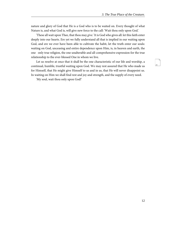nature and glory of God that He is a God who is to be waited on. Every thought of what Nature is, and what God is, will give new force to the call: 'Wait thou only upon God.'

'These all wait upon Thee, that thou may give.' It is God who gives all: let this faith enter deeply into our hearts. Ere yet we fully understand all that is implied in our waiting upon God, and ere we ever have been able to cultivate the habit, let the truth enter our souls: waiting on God, unceasing and entire dependence upon Him, is, in heaven and earth, the one only true religion, the one unalterable and all-comprehensive expression for the true relationship to the ever-blessed One in whom we live.

Let us resolve at once that it shall be the one characteristic of our life and worship, a continual, humble, trustful waiting upon God. We may rest assured that He who made us for Himself, that He might give Himself to us and in us, that He will never disappoint us. In waiting on Him we shall find rest and joy and strength, and the supply of every need.

'My soul, wait thou only upon God!'

28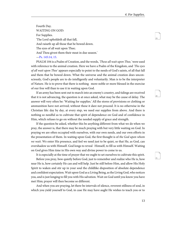30

31

<span id="page-17-0"></span>Fourth Day. WAITING ON GOD: For Supplies. 'The Lord upholdeth all that fall, And raiseth up all those that be bowed down. The eyes of all wait upon Thee; And Thou givest them their meat in due season.'

[—Ps. 145:14, 15.](http://www.ccel.org/study/Bible:Ps.145.14-Ps.145.15)

PSALM 104 is a Psalm of Creation, and the words, 'These all wait upon Thee,' were used with reference to the animal creation. Here we have a Psalm of the Kingdom, and 'The eyes of all wait upon Thee' appears especially to point to the needs of God's saints, of all that fall and them that be bowed down. What the universe and the animal creation does unconsciously, God's people are to do intelligently and voluntarily. Man is to be the interpreter of Nature. He is to prove that there is nothing more noble or more blessed in the exercise of our free will than to use it in waiting upon God.

If an army has been sent out to march into an enemy's country, and tidings are received that it is not advancing, the question is at once asked, what may be the cause of delay. The answer will very often be: 'Waiting for supplies.' All the stores of provisions or clothing or ammunition have not arrived; without these it dare not proceed. It is no otherwise in the Christian life: day by day, at every step, we need our supplies from above. And there is nothing so needful as to cultivate that spirit of dependence on God and of confidence in Him, which refuses to go on without the needed supply of grace and strength.

If the question be asked, whether this be anything different from what we do when we pray, the answer is, that there may be much praying with but very little waiting on God. In praying we are often occupied with ourselves, with our own needs, and our own efforts in the presentation of them. In waiting upon God, the first thought is of the God upon whom we wait. We enter His presence, and feel we need just to be quiet, so that He, as God, can overshadow us with Himself. God longs to reveal Himself, to fill us with Himself. Waiting on God gives Him time in His own way and divine power to come to us.

It is especially at the time of prayer that we ought to set ourselves to cultivate this spirit.

Before you pray, bow quietly before God, just to remember and realize who He is, how near He is, how certainly He can and will help. Just be still before Him, and allow His Holy Spirit to waken and stir up in your soul the childlike disposition of absolute dependence and confident expectation. Wait upon God as a Living Being, as the Living God, who notices you, and is just longing to fill you with His salvation. Wait on God until you know you have met Him; prayer will then become so different.

And when you are praying, let there be intervals of silence, reverent stillness of soul, in which you yield yourself to God, in case He may have aught He wishes to teach you or to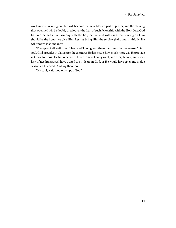work in you. Waiting on Him will become the most blessed part of prayer, and the blessing thus obtained will be doubly precious as the fruit of such fellowship with the Holy One. God has so ordained it, in harmony with His holy nature, and with ours, that waiting on Him should be the honor we give Him. Let us bring Him the service gladly and truthfully; He will reward it abundantly.

'The eyes of all wait upon Thee, and Thou givest them their meat in due season.' Dear soul, God provides in Nature for the creatures He has made: how much more will He provide in Grace for those He has redeemed. Learn to say of every want, and every failure, and every lack of needful grace: I have waited too little upon God, or He would have given me in due season all I needed. And say then too—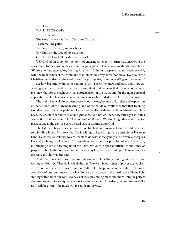34

35

<span id="page-19-0"></span>Fifth Day. WAITING ON GOD: For Instruction. 'Shew me thy ways, O Lord; Teach me Thy paths. Teach me Thy paths. Lead me in Thy truth, and teach me; For Thou art the God of my salvation; On Thee do I wait all the day.'— [Ps. 25:4, 5.](http://www.ccel.org/study/Bible:Ps.25.4-Ps.25.5)

'I SPOKE of an army, on the point of entering an enemy's territories, answering the question as to the cause of delay: 'Waiting for supplies.' The answer might also have been: 'Waiting for instructions,' or, 'Waiting for orders.' If the last despatch had not been received, with the final orders of the commander-in-chief, the army dared not move. Even so in the Christian life: as deep as the need of waiting for supplies, is that of waiting for instructions.'

See how beautifully this comes out in [Ps. 25](http://www.ccel.org/study/Bible:Ps.25). The writer knew and loved God's law exceedingly, and meditated in that law day and night. But he knew that this was not enough. He knew that for the right spiritual apprehension of the truth, and for the right personal application of it to his own peculiar circumstances, he needed a direct divine teaching.

The psalm has at all times been a very favourite one, because of its reiterated expression of the felt need of the Divine teaching, and of the childlike confidence that that teaching would be given. Study the psalm until your heart is filled with the two thoughts—the absolute need, the absolute certainty of divine guidance. And notice, then, how entirely it is in this connection that he speaks, 'On Thee do I wait all the day.' Waiting for guidance, waiting for instruction, all the day, is a very blessed part of waiting upon God.

The Father in heaven is so interested in His child, and so longs to have his life at every step in His will and His love, that He is willing to keep his guidance entirely in His own hand. He knows so well that we are unable to do what is really holy and heavenly, except as He works it in us, that He means His very demands to become promises of what He will do, in watching over and leading us all the day. Not only in special difficulties and times of perplexity, but in the common course of everyday life, we may count upon Him to teach us His way, and show us His path.

And what is needed in us to receive this guidance? One thing: waiting for instructions, waiting on God. 'On Thee do I wait all the day.' We want in our times of prayer to give clear expression to our sense of need, and our faith in His help. We want definitely to become conscious of our ignorance as to what God's way may be, and the need of the Divine light shining within us, if our way is to be as of the sun, shining more and more unto the perfect day. And we want to wait quietly before God in prayer, until the deep, restful assurance fills us: It will be given—'the meek will He guide in the way.'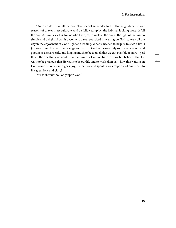'On Thee do I wait all the day.' The special surrender to the Divine guidance in our seasons of prayer must cultivate, and be followed up by, the habitual looking upwards 'all the day.' As simple as it is, to one who has eyes, to walk all the day in the light of the sun, so simple and delightful can it become to a soul practiced in waiting on God, to walk all the day in the enjoyment of God's light and leading. What is needed to help us to such a life is just one thing: the real knowledge and faith of God as the one only source of wisdom and goodness, as ever ready, and longing much to be to us all that we can possibly require—yes! this is the one thing we need. If we but saw our God in His love, if we but believed that He waits to be gracious, that He waits to be our life and to work all in us,—how this waiting on God would become our highest joy, the natural and spontaneous response of our hearts to His great love and glory!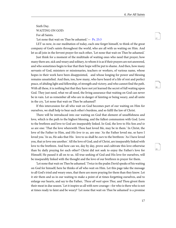38

<span id="page-21-0"></span>Sixth Day. WAITING ON GOD: For all Saints. 'Let none that wait on Thee be ashamed.'— [Ps. 25:3](http://www.ccel.org/study/Bible:Ps.25.3)

LET us now, in our meditation of today, each one forget himself, to think of the great company of God's saints throughout the world, who are all with us waiting on Him. And let us all join in the fervent prayer for each other, 'Let none that wait on Thee be ashamed.'

Just think for a moment of the multitude of waiting ones who need that prayer; how many there are, sick and weary and solitary, to whom it is as if their prayers are not answered, and who sometimes begin to fear that their hope will be put to shame. And then, how many servants of God, ministers or missionaries, teachers or workers, of various name, whose hopes in their work have been disappointed, and whose longing for power and blessing remains unsatisfied. And then, too, how many, who have heard of a life of rest and perfect peace, of abiding light and fellowship, of strength and victory, and who cannot find the path. With all these, it is nothing but that they have not yet learned the secret of full waiting upon God. They just need, what we all need, the living assurance that waiting on God can never be in vain. Let us remember all who are in danger of fainting or being weary, and all unite in the cry, 'Let none that wait on Thee be ashamed'!

If this intercession for all who wait on God becomes part of our waiting on Him for ourselves, we shall help to bear each other's burdens, and so fulfil the law of Christ.

There will be introduced into our waiting on God that element of unselfishness and love, which is the path to the highest blessing, and the fullest communion with God. Love to the brethren and love to God are inseparably linked. In God, the love to His Son and to us are one: 'That the love wherewith Thou hast loved Me, may be in them.' In Christ, the love of the Father to Him, and His love to us, are one: 'As the Father loved me, so have I loved you.' In us, He asks that His love to us shall be *ours* to the brethren: 'As I have loved you, that ye love one another.' All the love of God, and of Christ, are inseparably linked with love to the brethren. And how can we, day by day, prove and cultivate this love otherwise than by daily praying for each other? Christ did not seek to enjoy the Father's love for Himself; He passed it all on to us. All true seeking of God and His love for ourselves, will be inseparably linked with the thought and the love of our brethren in prayer for them.

'Let none that wait on Thee be ashamed.' Twice in the psalm David speaks of his waiting on God for himself; here he thinks of all who wait on Him. Let this page take the message to all God's tried and weary ones, that there are more praying for them than they know. Let it stir them and us in our waiting to make a point of at times forgetting ourselves, and to enlarge our hearts, and say to the Father, *'These all wait upon Thee*, and Thou givest them their meat in due season.' Let it inspire us all with new courage—for who is there who is not at times ready to faint and be weary? 'Let none that wait on Thee be ashamed' is a promise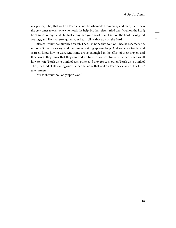in a prayer, 'They that wait on Thee shall not be ashamed'! From many and many a witness the cry comes to everyone who needs the help, brother, sister, tried one, 'Wait on the Lord; be of good courage, and He shall strengthen your heart; wait, I say, on the Lord. Be of good courage, and He shall strengthen your heart, all ye that wait on the Lord.'

Blessed Father! we humbly beseech Thee, Let none that wait on Thee be ashamed; no, not one. Some are weary, and the time of waiting appears long. And some are feeble, and scarcely know how to wait. And some are so entangled in the effort of their prayers and their work, they think that they can find no time to wait continually. Father! teach us all how to wait. Teach us to think of each other, and pray for each other. Teach us to think of Thee, the God of all waiting ones. Father! let none that wait on Thee be ashamed. For Jesus' sake. Amen.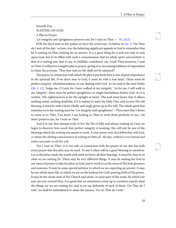42

43

<span id="page-23-0"></span>Seventh Day. WAITING ON GOD: A Plea in Prayer.

'Let integrity and uprightness preserve me; for I wait on Thee.'— [Ps. 25:21](http://www.ccel.org/study/Bible:Ps.25.21)

FOR the third time in this psalm we have the word wait. As before in [ver. 5,](http://www.ccel.org/study/Bible:Ps.25.5) 'On Thee do I wait all the day,' so here, too, the believing supplicant appeals to God to remember that he is waiting on Him, looking for an answer. It is a great thing for a soul not only to wait upon God, but to be filled with such a consciousness that its whole spirit and position is that of a waiting one, that it can, in childlike confidence, say, Lord! Thou knowest, I wait on Thee. It will prove a mighty plea in prayer, giving ever-increasing boldness of expectation to claim the promise, 'They that wait on Me shall not be ashamed'!

The prayer in connection with which the plea is put forth here is one of great importance in the spiritual life. If we draw near to God, it must be with a true heart. There must be perfect integrity, wholeheartedness, in our dealing with God. As we read in the next Psalm ([26: 1,](http://www.ccel.org/study/Bible:Ps.26.1) [11\)](http://www.ccel.org/study/Bible:Ps.26.11), 'Judge me, O Lord, for I have walked in my integrity,' 'As for me, I will walk in my integrity,' there must be perfect uprightness or single-heartedness before God. As it is written, 'His righteousness is for the upright in heart.' The soul must know that it allows nothing sinful, nothing doubtful; if it is indeed to meet the Holy One, and receive His full blessing, it must be with a heart wholly and singly given up to His will. The whole spirit that animates us in the waiting must be, 'Let integrity and uprightness'—Thou seest that I desire to come so to Thee, You know I am looking to Thee to work them perfectly in me;—let them 'preserve me, for I wait on Thee.'

And if at our first attempt truly to live the life of fully and always waiting on God, we begin to discover how much that perfect integrity is wanting, this will just be one of the blessings which the waiting was meant to work. A soul cannot seek close fellowship with God, or attain the abiding consciousness of waiting on Him all the day, without a very honest and entire surrender to all His will.

'For I wait on Thee': it is not only in connection with the prayer of our text but with every prayer that this plea may be used. To use it often will be a great blessing to ourselves. Let us therefore study the words well until we know all their bearings. It must be clear to us what we are waiting for. There may be very different things. It may be waiting for God in our times of prayer to take his place as God, and to work in us the sense of His holy presence and nearness. It may be some special petition, to which we are expecting an answer. It may be our whole inner life, in which we are on the lookout for God's putting forth of His power. It may be the whole state of His Church and saints, or some part of His work, for which our eyes are ever toward Him. It is good that we sometimes count up to ourselves exactly what the things are we are waiting for, and as we say definitely of each of them, 'On Thee do I wait,' we shall be emboldened to claim the answer, 'For on Thee do I wait.'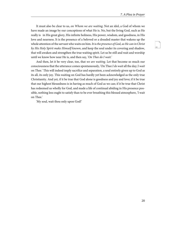It must also be clear to us, on Whom we are waiting. Not an idol, a God of whom we have made an image by our conceptions of what He is. No, but the living God, such as He really is in His great glory, His infinite holiness, His power, wisdom, and goodness, in His love and nearness. It is the presence of a beloved or a dreaded master that wakens up the whole attention of the servant who waits on him. It is the presence of God, as He can in Christ by His Holy Spirit make Himself known, and keep the soul under its covering and shadow, that will awaken and strengthen the true waiting spirit. Let us be still and wait and worship until we know how near He is, and then say, 'On Thee do I wait.'

And then, let it be very clear, too, that we are waiting. Let that become so much our consciousness that the utterance comes spontaneously, 'On Thee I do wait all the day; I wait on Thee.' This will indeed imply sacrifice and separation, a soul entirely given up to God as its all, its only joy. This waiting on God has hardly yet been acknowledged as the only true Christianity. And yet, if it be true that God alone is goodness and joy and love; if it be true that our highest blessedness is in having as much of God as we can; if it be true that Christ has redeemed us wholly for God, and made a life of continual abiding in His presence possible, nothing less ought to satisfy than to be ever breathing this blessed atmosphere, 'I wait on Thee.'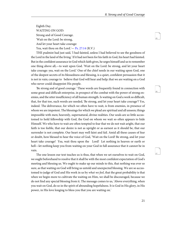46

47

<span id="page-25-0"></span>Eighth Day. WAITING ON GOD: Strong and of Good Courage. 'Wait on the Lord: be strong, And let your heart take courage: Yea, wait thou on the Lord.'— [Ps. 27:14](http://www.ccel.org/study/Bible:Ps.27.14) (R.V.)

THE psalmist had just said, 'I had fainted, unless I had believed to see the goodness of the Lord in the land of the living.' If it had not been for his faith in God, his heart had fainted. But in the confident assurance in God which faith gives, he urges himself and us to remember one thing above all,—to wait upon God. 'Wait on the Lord: be strong, and let your heart take courage: yea, wait on the Lord.' One of the chief needs in our waiting upon God, one of the deepest secrets of its blessedness and blessing, is a quiet, confident persuasion that it is not in vain; courage to believe that God will hear and help; that we are waiting on a God who never could disappoint His people.

'Be strong and of good courage.' These words are frequently found in connection with some great and difficult enterprise, in prospect of the combat with the power of strong enemies, and the utter insufficiency of all human strength. Is waiting on God a work so difficult, that, for that too, such words are needed, 'Be strong, and let your heart take courage'? Yes, indeed. The deliverance, for which we often have to wait, is from enemies, in presence of whom we are impotent. The blessings for which we plead are spiritual and all unseen; things impossible with men; heavenly, supernatural, divine realities. Our souls are so little accustomed to hold fellowship with God, the God on whom we wait so often appears to hide Himself. We who have to wait are often tempted to fear that we do not wait aright, that our faith is too feeble, that our desire is not as upright or as earnest as it should be, that our surrender is not complete. Our heart may well faint and fail. Amid all these causes of fear or doubt, how blessed to hear the voice of God, 'Wait on the Lord! Be strong, and let your heart take courage! Yea, wait thou upon the Lord! Let nothing in heaven or earth or hell—let nothing keep you from waiting on your God in full assurance that it cannot be in vain.

The one lesson our text teaches us is thus, that when we set ourselves to wait on God, we ought beforehand to resolve that it shall be with the most confident expectation of God's meeting and blessing us. We ought to make up our minds to this, that nothing was ever so sure, as that waiting on God will bring us untold and unexpected blessing. We are so accustomed to judge of God and His work in us by what we feel, that the great probability is that when we begin more to cultivate the waiting on Him, we shall be discouraged, because we do not find any special blessing from it. The message comes to us, 'Above everything, when you wait on God, do so in the spirit of abounding hopefulness. It is God in His glory, in His power, in His love longing to bless you that you are waiting on.'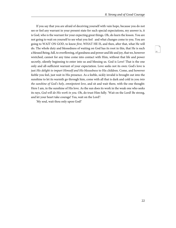If you say that you are afraid of deceiving yourself with vain hope, because you do not see or feel any warrant in your present state for such special expectations, my answer is, it is God, who is the warrant for your expecting great things. Oh, do learn the lesson. You are not going to wait on yourself to see what you feel and what changes come to you. You are going to WAIT ON GOD, to know first, WHAT HE IS, and then, after that, what He will do. The whole duty and blessedness of waiting on God has its root in this, that He is such a blessed Being, full, to overflowing, of goodness and power and life and joy, that we, however wretched, cannot for any time come into contact with Him, without that life and power secretly, silently beginning to enter into us and blessing us. God is Love! That is the one only and all-sufficient warrant of your expectation. Love seeks not its own: God's love is just His delight to impart Himself and His blessedness to His children. Come, and however feeble you feel, just wait in His presence. As a feeble, sickly invalid is brought out into the sunshine to let its warmth go through him, come with all that is dark and cold in you *into* the sunshine of God's holy, omnipotent love, and sit and wait there, with the one thought: Here I am, in the sunshine of His love. As the sun does its work in the weak one who seeks its rays, God will do His work in you. Oh, do trust Him fully. 'Wait on the Lord! Be strong, and let your heart take courage! Yea, wait on the Lord'!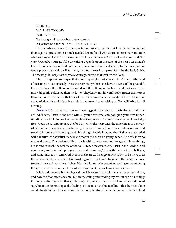50

51

<span id="page-27-0"></span>Ninth Day. WAITING ON GOD: With the Heart. 'Be strong, and let your heart take courage, All ye that wait for the Lord.'— [Ps. 31: 24.](http://www.ccel.org/study/Bible:Ps.31.24) (R.V.)

THE words are nearly the same as in our last meditation. But I gladly avail myself of them again to press home a much-needed lesson for all who desire to learn truly and fully what waiting on God is. The lesson is this: It is *with the heart* we must wait upon God. 'Let your heart take courage.' All our waiting depends upon the state of the heart. As a man's heart is, so is he before God. We can advance no further or deeper into the holy place of God's presence to wait on Him there, than our heart is prepared for it by the Holy Spirit. The message is, Let *your heart* take courage, all you that wait on the Lord.

The truth appears so simple, that some may ask, Do not all admit this? where is the need of insisting on it so specially? Because very many Christians have no sense of the great difference between the religion of the mind and the religion of the heart, and the former is far more diligently cultivated than the latter. They know not how infinitely greater the heart is than the mind. It is in this that one of the chief causes must be sought of the feebleness of our Christian life, and it is only as this is understood that waiting on God will bring its full blessing.

[Proverbs 3: 5 m](http://www.ccel.org/study/Bible:Prov.3.5)ay help to make my meaning plain. Speaking of a life in the fear and favor of God, it says, 'Trust in the Lord with all your heart, and lean not upon your own understanding.' In all religion we have to use these two powers. The mind has to gather knowledge from God's word, and prepare the food by which the heart with the inner life is to be nourished. But here comes in a terrible danger, of our leaning to our own understanding, and trusting in our understanding of divine things. People imagine that if they are occupied with the truth, the spiritual life will as a matter of course be strengthened. And this is by no means the case. The understanding deals with conceptions and images of divine things, but it cannot reach the real life of the soul. Hence the command, 'Trust in the Lord with all your heart, and lean not upon your own understanding.' It is with the heart man believes, and comes into touch with God. It is in the heart God has given His Spirit, to be there to us the presence and the power of God working in us. In all our religion it is the heart that must trust and love and worship and obey. My mind is utterly impotent in creating or maintaining the spiritual life within me: the heart must wait on God for Him to work it in me.

It is in this even as in the physical life. My reason may tell me what to eat and drink, and how the food nourishes me. But in the eating and feeding my reason can do nothing: the body has its organs for that special purpose. Just so, reason may tell me what God's word says, but it can do nothing to the feeding of the soul on the bread of life—this the heart alone can do by its faith and trust in God. A man may be studying the nature and effects of food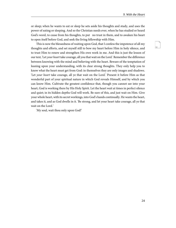or sleep; when he wants to eat or sleep he sets aside his thoughts and study, and uses the power of eating or sleeping. And so the Christian needs ever, when he has studied or heard God's word, to cease from his thoughts, to put no trust in them, and to awaken his heart to open itself before God, and seek the living fellowship with Him.

This is now the blessedness of waiting upon God, that I confess the impotence of all my thoughts and efforts, and set myself still to bow my heart before Him in holy silence, and to trust Him to renew and strengthen His own work in me. And this is just the lesson of our text, 'Let your heart take courage, all you that wait on the Lord.' Remember the difference between knowing with the mind and believing with the heart. Beware of the temptation of leaning upon your understanding, with its clear strong thoughts. They only help you to know what the heart must get from God: in themselves they are only images and shadows. 'Let your heart take courage, all ye that wait on the Lord.' Present it before Him as that wonderful part of your spiritual nature in which God reveals Himself, and by which you can know Him. Cultivate the greatest confidence that, though you cannot see into your heart, God is working there by His Holy Spirit. Let the heart wait at times in perfect silence and quiet; in its hidden depths God will work. Be sure of this, and just wait on Him. Give your whole heart, with its secret workings, into God's hands continually. He wants the heart, and takes it, and as God dwells in it. 'Be strong, and let your heart take courage, all ye that wait on the Lord.'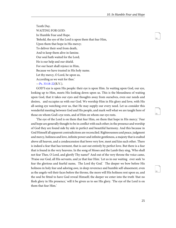55

56

<span id="page-29-0"></span>Tenth Day. WAITING FOR GOD: In Humble Fear and Hope. 'Behold, the eye of the Lord is upon them that fear Him, Upon them that hope in His mercy; To deliver their soul from death, And to keep them alive in famine. Our soul hath waited for the Lord; He is our help and our shield. For our heart shall rejoice in Him, Because we have trusted in His holy name. Let thy mercy, O Lord, be upon us, According as we wait for thee.' [—Ps. 33:18-22\(](http://www.ccel.org/study/Bible:Ps.33.18-Ps.33.22)R.V.).

GOD'S eye is upon His people: their eye is upon Him. In waiting upon God, our eye, looking up to Him, meets His looking down upon us. This is the blessedness of waiting upon God, that it takes our eyes and thoughts away from ourselves, even our needs and desires, and occupies us with our God. We worship Him in His glory and love, with His all-seeing eye watching over us, that He may supply our every need. Let us consider this wonderful meeting between God and His people, and mark well what we are taught here of those on whom God's eye rests, and of Him on whom our eye rests.

'The eye of the Lord is on them that fear Him, on them that hope in His mercy.' Fear and hope are generally thought to be in conflict with each other; in the presence and worship of God they are found side by side in perfect and beautiful harmony. And this because in God Himself all apparent contradictions are reconciled. Righteousness and peace, judgment and mercy, holiness and love, infinite power and infinite gentleness, a majesty that is exalted above all heaven, and a condescension that bows very low, meet and kiss each other. There is indeed a fear that has torment, that is cast out entirely by perfect love. But there is a fear that is found in the very heavens. In the song of Moses and the Lamb they sing, 'Who shall not fear Thee, O Lord, and glorify Thy name?' And out of the very throne the voice came, 'Praise our God, all His servants, and ye that fear Him.' Let us in our waiting ever seek 'to fear the glorious and fearful name, The Lord thy God.' The deeper we bow before His holiness in holy fear and adoring awe, in deep reverence and humble self-abasement, even as the angels veil their faces before the throne, the more will His holiness rest upon us, and the soul be fitted to have God reveal Himself; the deeper we enter into the truth 'that no flesh glory in His presence,' will it be given us to see His glory. 'The eye of the Lord is on them that fear Him.'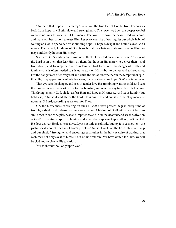'On them that hope in His mercy.' So far will the true fear of God be from keeping us back from hope, it will stimulate and strengthen it. The lower we bow, the deeper we feel we have nothing to hope in but His mercy. The lower we bow, the nearer God will come, and make our hearts bold to trust Him. Let every exercise of waiting, let our whole habit of waiting on God, be pervaded by abounding hope—a hope as bright and boundless as God's mercy. The fatherly kindness of God is such that, in whatever state we come to Him, we may confidently hope in His mercy.

Such are God's waiting ones. And now, think of the God on whom we wait. 'The eye of the Lord is on them that fear Him, on them that hope in His mercy; to deliver their soul from death, and to keep them alive in famine.' Not to prevent the danger of death and famine—this is often needed to stir up to wait on Him—but to deliver and to keep alive. For the dangers are often very real and dark; the situation, whether in the temporal or spiritual life, may appear to be utterly hopeless; there is always one hope: God's eye is on them.

That eye sees the danger, and sees in tender love His trembling waiting child, and sees the moment when the heart is ripe for the blessing, and sees the way in which it is to come. This living, mighty God, oh, let us fear Him and hope in His mercy. And let us humbly but boldly say, 'Our soul waiteth for the Lord; He is our help and our shield. Let Thy mercy be upon us, O Lord, according as we wait for Thee.'

Oh, the blessedness of waiting on such a God! a very present help in every time of trouble; a shield and defense against every danger. Children of God! will you not learn to sink down in entire helplessness and impotence, and in stillness to wait and see the salvation of God? In the utmost spiritual famine, and when death appears to prevail, oh, wait on God. He does deliver, He does keep alive. Say it not only in solitude, but say it to each other—the psalm speaks not of one but of God's people—'Our soul waits on the Lord: He is our help and our shield.' Strengthen and encourage each other in the holy exercise of waiting, that each may not only say it of himself, but of his brethren, 'We have waited for Him; we will be glad and rejoice in His salvation.'

'My soul, wait thou only upon God!'

57

58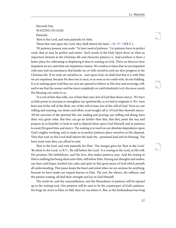60

<span id="page-31-0"></span>Eleventh Day. WAITING ON GOD: Patiently. 'Rest in the Lord, and wait patiently for Him.

Those that wait upon the Lord, they shall inherit the land.'[—Ps. 37: 7](http://www.ccel.org/study/Bible:Ps.37.7),[9\(](http://www.ccel.org/study/Bible:Ps.37.9)R.V.).

'IN patience possess your souls.' 'Ye have need of patience.' 'Let patience have its perfect work, that ye may be perfect and entire.' Such words of the Holy Spirit show us what an important element in the Christian life and character patience is. And nowhere is there a better place for cultivating or displaying it than in waiting on God. There we discover how impatient we are, and what our impatience means. We confess at times that we are impatient with men and circumstances that hinder us, or with ourselves and our slow progress in the Christian life. If we truly set ourselves to wait upon God, we shall find that it is with Him we are impatient, because He does not at once, or as soon as we could wish, do our bidding. It is in waiting upon God that our eyes are opened to believe in His wise and sovereign will, and to see that the sooner and the more completely we yield absolutely to it, the more surely His blessing can come to us.

'It is not of him that wills, nor of him that runs, but of God that shows mercy.' We have as little power to increase or strengthen our spiritual life, as we had to originate it. We 'were born not of the will of the flesh, nor of the will of man, but of the will of God.' Even so, our willing and running, our desire and effort, avail nought; all is 'of God that showeth mercy.' All the exercises of the spiritual life, our reading and praying, our willing and doing, have their very great value. But they can go no farther than this, that they point the way and prepare us in humility to look to and to depend alone upon God Himself, and in patience to await His good time and mercy. The waiting is to teach us our absolute dependence upon God's mighty working, and to make us in perfect patience place ourselves at His disposal. They that wait on the Lord shall inherit the land; the promised land and its blessing. The heirs must wait; they can afford to wait.

'Rest in the lord, and wait patiently for Him.' The margin gives for 'Rest in the Lord,' 'Be silent to the Lord,' or R.V., 'Be still before the Lord.' It is resting in the Lord, in His will, His promise, His faithfulness, and His love, that makes patience easy. And the resting in Him is nothing but being silent unto Him, still before Him. Having our thoughts and wishes, our fears and hopes, hushed into calm and quiet in that great peace of God which passeth all understanding. That peace keeps the heart and mind when we are anxious for anything, because we have made our request known to Him. The rest, the silence, the stillness, and the patient waiting, all find their strength and joy in God Himself.

The needs be, and the reasonableness, and the blessedness of patience will be opened up to the waiting soul. Our patience will be seen to be the counterpart of God's patience. He longs far more to bless us fully than we can desire it. But, as the husbandman has long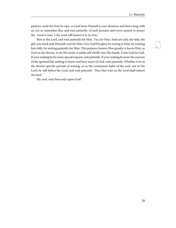patience until the fruit be ripe, so God bows Himself to our slowness and bears long with us. Let us remember this, and wait patiently: of each promise and every answer to prayer the word is true: 'I the Lord will hasten it in its time.'

'Rest in the Lord, and wait patiently for Him.' Yes, for Him. Seek not only the help, the gift, you need; seek Himself; wait for Him. Give God His glory by resting in Him, by trusting him fully, by waiting patiently for Him. This patience honors Him greatly; it leaves Him, as God on the throne, to do His work; it yields self wholly into His hands. It lets God be God. If your waiting be for some special request, wait patiently. If your waiting be more the exercise of the spiritual life seeking to know and have more of God, wait patiently. Whether it be in the shorter specific periods of waiting, or as the continuous habit of the soul; rest in the Lord, be still before the Lord, and wait patiently. 'They that wait on the Lord shall inherit the land.'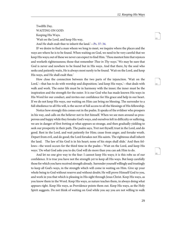64

65

<span id="page-33-0"></span>Twelfth Day. WAITING ON GOD: Keeping His Ways. 'Wait on the Lord, and keep His way, And He shalt exalt thee to inherit the land.'—[Ps. 37: 34.](http://www.ccel.org/study/Bible:Ps.37.34)

IF we desire to find a man whom we long to meet, we inquire where the places and the ways are where he is to be found. When waiting on God, we need to be very careful that we keep His ways; out of these we never can expect to find Him. 'Thou meetest him that rejoices and worketh righteousness; those that remember Thee in Thy ways.' We may be sure that God is never and nowhere to be found but in His ways. And that there, by the soul who seeks and patiently waits, He is always most surely to be found. 'Wait on the Lord, and keep His ways, and He shall exalt thee.'

How close the connection between the two parts of the injunction. 'Wait on the Lord,'—that has to do with worship and disposition; 'and keep His ways,'—that deals with walk and work. The outer life must be in harmony with the inner; the inner must be the inspiration and the strength for the outer. It is our God who has made known His ways in His Word for our conduct, and invites our confidence for His grace and help in our heart. If we do not keep His ways, our waiting on Him can bring no blessing. The surrender to a full obedience to all His will, is the secret of full access to all the blessings of His fellowship.

Notice how strongly this comes out in the psalm. It speaks of the evildoer who prospers in his way, and calls on the believer not to fret himself. When we see men around us prosperous and happy while they forsake God's ways, and ourselves left in difficulty or suffering, we are in danger of first fretting at what appears so strange, and then gradually yielding to seek our prosperity in their path. The psalm says, 'Fret not thyself; trust in the Lord, and do good. Rest in the Lord, and wait patiently for Him; cease from anger, and forsake wrath. Depart from evil, and do good; the Lord forsakes not His saints. The righteous shall inherit the land. The law of his God is in his heart; none of his steps shall slide.' And then follows—the word occurs for the third time in the psalm—'Wait on the Lord, and keep His ways.' Do what God asks you to do; God will do more than you can ask Him to do.

And let no one give way to the fear: I cannot keep His ways; it is this robs us of our confidence. It is true you have not the strength yet to keep all His ways. But keep carefully those for which you have received strength already. Surrender yourself willingly and trustingly to keep all God's ways, in the strength which will come in waiting on Him. Give up your whole being to God without reserve and without doubt; He will prove Himself God to you, and work in you that which is pleasing in His sight through Jesus Christ. Keep His ways, as you know them in the Word. Keep His ways, as nature teaches them, in always doing what appears right. Keep His ways, as Providence points them out. Keep His ways, as the Holy Spirit suggests. Do not think of waiting on God while you say you are not willing to walk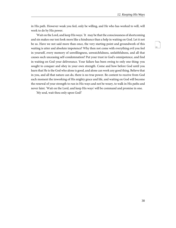in His path. However weak you feel, only be willing, and He who has worked to will, will work to do by His power.

'Wait on the Lord, and keep His ways.' It may be that the consciousness of shortcoming and sin makes our text look more like a hindrance than a help in waiting on God. Let it not be so. Have we not said more than once, the very starting-point and groundwork of this waiting is utter and absolute impotence? Why then not come with everything evil you feel in yourself, every memory of unwillingness, unwatchfulness, unfaithfulness, and all that causes such unceasing self-condemnation? Put your trust in God's omnipotence, and find in waiting on God your deliverance. Your failure has been owing to only one thing: you sought to conquer and obey in your own strength. Come and bow before God until you learn that He is the God who alone is good, and alone can work any good thing. Believe that in you, and all that nature can do, there is no true power. Be content to receive from God each moment the inworking of His mighty grace and life, and waiting on God will become the renewal of your strength to run in His ways and not be weary, to walk in His paths and never faint. 'Wait on the Lord, and keep His ways' will be command and promise in one.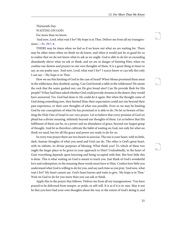77

<span id="page-35-0"></span>Thirteenth Day.

WAITING ON GOD:

For more than we know.

'And now, Lord, what wait I for? My hope is in Thee. Deliver me from all my transgressions.'[—Ps. 39:7, 8](http://www.ccel.org/study/Bible:Ps.39.7-Ps.39.8).

THERE may be times when we feel as if we knew not what we are waiting for. There may be other times when we think we do know, and when it would just be so good for us to realize that we do not know what to ask as we ought. God is able to do for us exceeding abundantly above what we ask or think, and we are in danger of limiting Him, when we confine our desires and prayers to our own thoughts of them. It is a great thing at times to say, as our psalm says: 'And now, Lord, what wait I for?' I scarce know or can tell; this only I can say—'My hope is in Thee.'

How we see this limiting of God in the case of Israel! When Moses promised them meat in the wilderness, they doubted, saying, 'Can God furnish a table in the wilderness? He smote the rock that the water gushed out; can He give bread also? Can He provide flesh for His people?' If they had been asked whether God could provide streams in the desert, they would have answered, Yes. God had done it: He could do it again. But when the thought came of God doing something new, they limited Him; their expectation could not rise beyond their past experience, or their own thoughts of what was possible. Even so we may be limiting God by our conceptions of what He has promised or is able to do. Do let us beware of limiting the Holy One of Israel in our very prayer. Let us believe that every promise of God we plead has a divine meaning, infinitely beyond our thoughts of them. Let us believe that His fulfilment of them can be, in a power and an abundance of grace, beyond our largest grasp of thought. And let us therefore cultivate the habit of waiting on God, not only for what we think we need, but for all His grace and power are ready to do for us.

In every true prayer there are two hearts in exercise. The one is your heart, with its little, dark, human thoughts of what you need and God can do. The other is God's great heart, with its infinite, its divine purposes of blessing. What think you? To which of these two ought the larger place to be given in your approach to Him? Undoubtedly, to the heart of God: everything depends upon knowing and being occupied with that. But how little this is done. This is what waiting on God is meant to teach you. Just think of God's wonderful love and redemption, in the meaning these words must have to Him. Confess how little you understand what God is willing to do for you, and say each time as you pray 'And now, what wait I for?' My heart cannot say. God's heart knows and waits to give. 'My hope is in Thee.' Wait on God to do for you more than you can ask or think.

Apply this to the prayer that follows: 'Deliver me from all my transgressions.' You have prayed to be delivered from temper, or pride, or self-will. It is as if it is in vain. May it not be that you have had your own thoughts about the way or the extent of God's doing it, and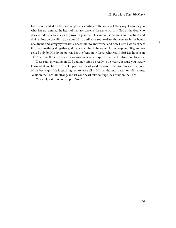have never waited on the God of glory, according to the riches of His glory, to do for you what has not entered the heart of man to conceive? Learn to worship God as the God who does wonders, who wishes to prove in you that He can do something supernatural and divine. Bow before Him, wait upon Him, until your soul realizes that you are in the hands of a divine and almighty worker. Consent not to know what and how He will work; expect it to be something altogether godlike, something to be waited for in deep humility, and received only by His divine power. Let the, 'And now, Lord, what wait I for? My hope is in Thee' become the spirit of every longing and every prayer. He will in His time do His work.

Dear soul, in waiting on God you may often be ready to be weary, because you hardly know what you have to expect. I pray you, be of good courage—this ignorance is often one of the best signs. He is teaching you to leave all in His hands, and to wait on Him alone. 'Wait on the Lord! Be strong, and let your heart take courage. Yea, wait on the Lord.'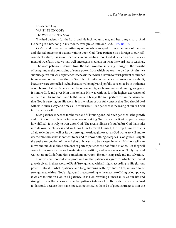Fourteenth Day. WAITING ON GOD: The Way to the New Song.

'I waited patiently for the Lord, and He inclined unto me, and heard my cry. . . . And He hath put a new song in my mouth, even praise unto our  $God.′—Ps. 40: 1-3.$  $God.′—Ps. 40: 1-3.$ 

COME and listen to the testimony of one who can speak from experience of the sure and blessed outcome of patient waiting upon God. True patience is so foreign to our selfconfident nature, it is so indispensable in our waiting upon God, it is such an essential element of true faith, that we may well once again meditate on what the word has to teach us.

The word patience is derived from the Latin word for suffering. It suggests the thought of being under the constraint of some power from which we want to be free. At first we submit against our will; experience teaches us that when it is vain to resist, patient endurance is our wisest course. In waiting on God it is of infinite consequence that we not only submit, because we are compelled to, but because we lovingly and joyfully consent to be in the hands of our blessed Father. Patience then becomes our highest blessedness and our highest grace. It honors God, and gives Him time to have His way with us. It is the highest expression of our faith in His goodness and faithfulness. It brings the soul perfect rest in the assurance that God is carrying on His work. It is the token of our full consent that God should deal with us in such a way and time as He thinks best. True patience is the losing of our self-will in His perfect will.

Such patience is needed for the true and full waiting on God. Such patience is the growth and fruit of our first lessons in the school of waiting. To many a one it will appear strange how difficult it is truly to wait upon God. The great stillness of soul before God that sinks into its own helplessness and waits for Him to reveal Himself; the deep humility that is afraid to let its own will or its own strength work aught except as God works to will and to do; the meekness that is content to be and to know nothing except as God gives His light; the entire resignation of the will that only wants to be a vessel in which His holy will can move and mold: all these elements of perfect patience are not found at once. But they will come in measure as the soul maintains its position, and ever again says: 'Truly my soul waiteth upon God; from Him cometh my salvation: He only is my rock and my salvation.'

Have you ever noticed what proof we have that patience is a grace for which very special grace is given, in these words of Paul: 'Strengthened with all might, according to His glorious power, unto all'—what? 'patience and long-suffering with joyfulness.' Yes, we need to be strengthened with all God's might, and that according to the measure of His glorious power, if we are to wait on God in all patience. It is God revealing Himself in us as our life and strength, that will enable us with perfect patience to leave all in His hands. If any are inclined to despond, because they have not such patience, let them be of good courage; it is in the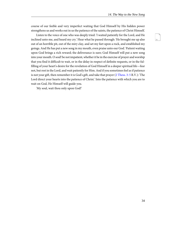course of our feeble and very imperfect waiting that God Himself by His hidden power strengthens us and works out in us the patience of the saints, the patience of Christ Himself.

Listen to the voice of one who was deeply tried: 'I waited patiently for the Lord, and He inclined unto me, and heard my cry.' Hear what he passed through: 'He brought me up also out of an horrible pit, out of the miry clay, and set my feet upon a rock, and established my goings. And He has put a new song in my mouth, even praise unto our God.' Patient waiting upon God brings a rich reward; the deliverance is sure; God Himself will put a new song into your mouth. O soul! be not impatient, whether it be in the exercise of prayer and worship that you find it difficult to wait, or in the delay in respect of definite requests, or in the fulfilling of your heart's desire for the revelation of God Himself in a deeper spiritual life—fear not, but rest in the Lord, and wait patiently for Him. And if you sometimes feel as if patience is not your gift, then remember it is God's gift, and take that prayer [\(2 Thess. 3: 5 R](http://www.ccel.org/study/Bible:2Thess.3.5).V.): 'The Lord direct your hearts into the patience of Christ.' Into the patience with which you are to wait on God, He Himself will guide you.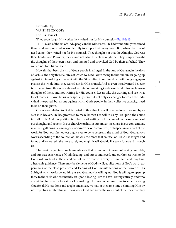76

77

Fifteenth Day. WAITING ON GOD: For His Counsel.

'They soon forgot His works: they waited not for His counsel.'—[Ps. 106: 13](http://www.ccel.org/study/Bible:Ps.106.13).

THIS is said of the sin of God's people in the wilderness. He had wonderfully redeemed them, and was prepared as wonderfully to supply their every need. But, when the time of need came, 'they waited not for His counsel.' They thought not that the Almighty God was their Leader and Provider; they asked not what His plans might be. They simply thought the thoughts of their own heart, and tempted and provoked God by their unbelief. 'They waited not for His counsel.'

How this has been the sin of God's people in all ages! In the land of Canaan, in the days of Joshua, the only three failures of which we read were owing to this one sin. In going up against Ai, in making a covenant with the Gibeonites, in settling down without going up to possess the whole land, they waited not for His counsel. And so even the advanced believer is in danger from this most subtle of temptations—taking God's word and thinking his own thoughts of them, and not waiting for His counsel. Let us take the warning and see what Israel teaches us. And let us very specially regard it not only as a danger to which the individual is exposed, but as one against which God's people, in their collective capacity, need to be on their guard.

Our whole relation to God is rooted in this, that His will is to be done in us and by us as it is in heaven. He has promised to make known His will to us by His Spirit, the Guide into all truth. And our position is to be that of waiting for His counsel, as the only guide of our thoughts and actions. In our church worship, in our prayer-meetings, in our conventions, in all our gatherings as managers, or directors, or committees, or helpers in any part of the work for God, our first object ought ever to be to ascertain the mind of God. God always works according to the counsel of His will; the more that counsel of His will is sought and found and honoured, the more surely and mightily will God do His work for us and through us.

The great danger in all such assemblies is that in our consciousness of having our Bible, and our past experience of God's leading, and our sound creed, and our honest wish to do God's will, we trust in these, and do not realize that with every step we need and may have a heavenly guidance. There may be elements of God's will, applications of God's word, experiences of the close presence and leading of God, manifestations of the power of His Spirit, of which we know nothing as yet. God may be willing, no, God is willing to open up these to the souls who are intently set upon allowing Him to have His way entirely, and who are willing in patience to wait for His making it known. When we come together praising God for all He has done and taught and given, we may at the same time be limiting Him by not expecting greater things. It was when God had given the water out of the rock that they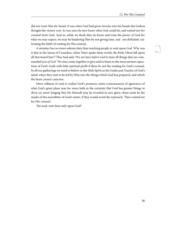did not trust Him for bread. It was when God had given Jericho into his hands that Joshua thought the victory over Ai was sure; he now knew what God could do, and waited not for counsel from God. And so, while we think that we know and trust the power of God for what we may expect, we may be hindering Him by not giving time, and not definitely cultivating the habit of waiting for His counsel.

A minister has no more solemn duty than teaching people to wait upon God. Why was it that in the house of Cornelius, when 'Peter spoke these words, the Holy Ghost fell upon all that heard him'? They had said, 'We are here before God to hear all things that are commanded you of God.' We may come together to give and to listen to the most earnest exposition of God's truth with little spiritual profit if there be not the waiting for God's counsel. In all our gatherings we need to believe in the Holy Spirit as the Guide and Teacher of God's saints when they wait to be led by Him into the things which God has prepared, and which the heart cannot conceive.

More stillness of soul to realize God's presence; more consciousness of ignorance of what God's great plans may be; more faith in the certainty that God has greater things to show us; more longing that He Himself may be revealed in new glory: these must be the marks of the assemblies of God's saints, if they would avoid the reproach, 'They waited not for His counsel.'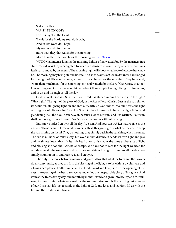80

Sixteenth Day. WAITING ON GOD: For His Light in the Heart. 'I wait for the Lord, my soul doth wait, And in His word do I hope. My soul waiteth for the Lord more than they that watch for the morning: More than they that watch for the morning. - [Ps. 130:5, 6.](http://www.ccel.org/study/Bible:Ps.130.5-Ps.130.6)

WITH what intense longing the morning light is often waited for. By the mariners in a shipwrecked vessel; by a benighted traveler in a dangerous country; by an army that finds itself surrounded by an enemy. The morning light will show what hope of escape there may be. The morning may bring life and liberty. And so the saints of God in darkness have longed for the light of His countenance, more than watchmen for the morning. They have said, 'More than watchmen for the morning, my soul waiteth for the Lord.' Can we say that too? Our waiting on God can have no higher object than simply having His light shine on us, and in us, and through us, all the day.

God is Light. God is a Sun. Paul says: 'God has shined in our hearts to give the light.' What light? 'The light of the glory of God, in the face of Jesus Christ.' Just as the sun shines its beautiful, life-giving light on and into our earth, so God shines into our hearts the light of His glory, of His love, in Christ His Son. Our heart is meant to have that light filling and gladdening it all the day. It can have it, because God is our sun, and it is written, 'Your sun shall no more go down forever.' God's love shines on us without ceasing.

But can we indeed enjoy it all the day? We can. And how can we? Let nature give us the answer. Those beautiful trees and flowers, with all this green grass, what do they do to keep the sun shining on them? They do nothing; they simply bask in the sunshine, when it comes. The sun is millions of miles away, but over all that distance it sends its own light and joy; and the tiniest flower that lifts its little head upwards is met by the same exuberance of light and blessing as flood the widest landscape. We have not to care for the light we need for our day's work; the sun cares, and provides and shines the light around us all the day. We simply count upon it, and receive it, and enjoy it.

The only difference between nature and grace is this, that what the trees and the flowers do unconsciously, as they drink in the blessing of the light, is to be with us a voluntary and a loving acceptance. Faith, simple faith in God's word and love, is to be the opening of the eyes, the opening of the heart, to receive and enjoy the unspeakable glory of His grace. And even as the trees, day by day, and month by month, stand and grow into beauty and fruitfulness, just welcoming whatever sunshine the sun may give, so it is the very highest exercise of our Christian life just to abide in the light of God, and let it, and let Him, fill us with the life and the brightness it brings.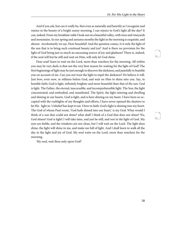And if you ask, but can it really be, that even as naturally and heartily as I recognize and rejoice in the beauty of a bright sunny morning, I can rejoice in God's light all the day? It can, indeed. From my breakfast-table I look out on a beautiful valley, with trees and vineyards and mountains. In our spring and autumn months the light in the morning is exquisite, and almost involuntarily we say, How beautiful! And the question comes, Is it only the light of the sun that is to bring such continual beauty and joy? And is there no provision for the light of God being just as much an unceasing source of joy and gladness? There is, indeed, if the soul will but be still and wait on Him, will only let God shine.

Dear soul! learn to wait on the Lord, more than watchers for the morning. All within you may be very dark; is that not the very best reason for waiting for the light of God? The first beginnings of light may be just enough to discover the darkness, and painfully to humble you on account of sin. Can you not trust the light to expel the darkness? Do believe it will. Just bow, even now, in stillness before God, and wait on Him to shine into you. Say, in humble faith; God is light, infinitely brighter and more beautiful than that of the sun. God is light. The Father, the eternal, inaccessible, and incomprehensible light. The Son, the light concentrated, and embodied, and manifested. The Spirit, the light entering and dwelling and shining in our hearts. God is light, and is here shining on my heart. I have been so occupied with the rushlights of my thoughts and efforts, I have never opened the shutters to let His light in. Unbelief has kept it out. I bow in faith: God's light is shining into my heart. The God of whom Paul wrote, 'God hath shined into our heart,' is my God. What would I think of a sun that could not shine? what shall I think of a God that does not shine? No, God shines! God is light! I will take time, and just be still, and rest in the light of God. My eyes are feeble, and the windows are not clean, but I will wait on the Lord. The light does shine, the light will shine in me, and make me full of light. And I shall learn to walk all the day in the light and joy of God. My soul waits on the Lord, more than watchers for the morning.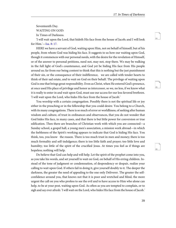85

Seventeenth Day.

WAITING ON GOD:

In Times of Darkness.

'I will wait upon the Lord, that hideth His face from the house of Jacob; and I will look for Him.'[—Isa. 8: 17.](http://www.ccel.org/study/Bible:Isa.8.17)

HERE we have a servant of God, waiting upon Him, not on behalf of himself, but of his people, from whom God was hiding his face. It suggests to us how our waiting upon God, though it commences with our personal needs, with the desire for the revelation of Himself, or of the answer to personal petitions, need not, may not, stop there. We may be walking in the full light of God's countenance, and God yet be hiding His face from His people around us; far from our being content to think that this is nothing but the just punishment of their sin, or the consequence of their indifference, we are called with tender hearts to think of their sad estate, and to wait on God on their behalf. The privilege of waiting upon God is one that brings great responsibility. Even as Christ, when He entered God's presence, at once used His place of privilege and honor as intercessor, so we, no less, if we know what it is really to enter in and wait upon God, must use our access for our less favored brethren. 'I will wait upon the Lord, who hides His face from the house of Jacob.'

You worship with a certain congregation. Possibly there is not the spiritual life or joy either in the preaching or in the fellowship that you could desire. You belong to a Church, with its many congregations. There is so much of error or worldliness, of seeking after human wisdom and culture, of trust in ordinances and observances, that you do not wonder that God hides His face, in many cases, and that there is but little power for conversion or true edification. Then there are branches of Christian work with which you are connected—a Sunday school, a gospel hall, a young men's association, a mission work abroad—in which the feebleness of the Spirit's working appears to indicate that God is hiding His face. You think, too, you know the reason. There is too much trust in men and money; there is too much formality and self-indulgence; there is too little faith and prayer; too little love and humility; too little of the spirit of the crucified Jesus. At times you feel as if things are hopeless; nothing will help.

Do believe that God can help and will help. Let the spirit of the prophet come into you, as you take his words, and set yourself to wait on God, on behalf of His erring children. Instead of the tone of judgment or condemnation, of despondency or despair, realize your calling to wait upon God. If others fail in doing it, give yourself doubly to it. The deeper the darkness, the greater the need of appealing to the one only Deliverer. The greater the selfconfidence around you, that knows not that it is poor and wretched and blind, the more urgent the call on you who profess to see the evil and to have access to Him who alone can help, to be at your post, waiting upon God. As often as you are tempted to complain, or to sigh and say ever afresh: 'I will wait on the Lord, who hides His face from the house of Jacob.'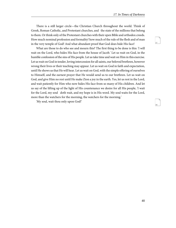88

There is a still larger circle—the Christian Church throughout the world. Think of Greek, Roman Catholic, and Protestant churches, and the state of the millions that belong to them. Or think only of the Protestant churches with their open Bible and orthodox creeds. How much nominal profession and formality! how much of the rule of the flesh and of man in the very temple of God! And what abundant proof that God does hide His face!

What are those to do who see and mourn this? The first thing to be done is this: 'I will wait on the Lord, who hides His face from the house of Jacob.' Let us wait on God, in the humble confession of the sins of His people. Let us take time and wait on Him in this exercise. Let us wait on God in tender, loving intercession for all saints, our beloved brethren, however wrong their lives or their teaching may appear. Let us wait on God in faith and expectation, until He shows us that He will hear. Let us wait on God, with the simple offering of ourselves to Himself, and the earnest prayer that He would send us to our brethren. Let us wait on God, and give Him no rest until He make Zion a joy in the earth. Yes, let us rest in the Lord, and wait patiently for Him who now hides His face from so many of His children. And let us say of the lifting up of the light of His countenance we desire for all His people, 'I wait for the Lord, my soul doth wait, and my hope is in His word. My soul waits for the Lord, more than the watchers for the morning, the watchers for the morning.'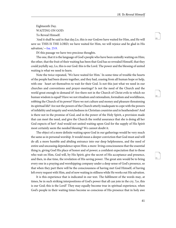90

91

Eighteenth Day. WAITING ON GOD:

To Reveal Himself.

'And it shall be said in that day,Lo, this is our God;we have waited for Him, and He will save us: THIS IS THE LORD; we have waited for Him, we will rejoice and be glad in His salvation,'[—Isa. 25:9.](http://www.ccel.org/study/Bible:Isa.25.9)

IN this passage we have two precious thoughts.

The one, that it is the language of God's people who have been unitedly waiting on Him; the other, that the fruit of their waiting has been that God has so revealed Himself, that they could joyfully say, Lo, this is our God: this is the Lord. The power and the blessing of united waiting is what we need to learn.

Note the twice repeated, 'We have waited for Him.' In some time of trouble the hearts of the people had been drawn together, and they had, ceasing from all human hope or help, with one heart set themselves to wait for their God. Is not this just what we need in our churches and conventions and prayer-meetings? Is not the need of the Church and the world great enough to demand it? Are there not in the Church of Christ evils to which no human wisdom is equal? Have we not ritualism and rationalism, formalism and worldliness, robbing the Church of its power? Have we not culture and money and pleasure threatening its spiritual life? Are not the powers of the Church utterly inadequate to cope with the powers of infidelity and iniquity and wretchedness in Christian countries and in heathendom? And is there not in the promise of God, and in the power of the Holy Spirit, a provision made that can meet the need, and give the Church the restful assurance that she is doing all her God expects of her? And would not united waiting upon God for the supply of His Spirit most certainly seem the needed blessing? We cannot doubt it.

The object of a more definite waiting upon God in our gatherings would be very much the same as in personal worship. It would mean a deeper conviction that God must and will do all; a more humble and abiding entrance into our deep helplessness, and the need of entire and unceasing dependence upon Him; a more living consciousness that the essential thing is, giving God His place of honor and of power; a confident expectation that to those who wait on Him, God will, by His Spirit, give the secret of His acceptance and presence, and then, in due time, the revelation of His saving power. The great aim would be to bring every one in a praying and worshipping company under a deep sense of God's presence, so that when they part there will be the consciousness of having met God Himself, of having left every request with Him, and of now waiting in stillness while He works out His salvation.

It is this experience that is indicated in our text. The fulfilment of the words may, at times, be in such striking interpositions of God's power that all can join in the cry, 'Lo, this is our God; this is the Lord!' They may equally become true in spiritual experience, when God's people in their waiting times become so conscious of His presence that in holy awe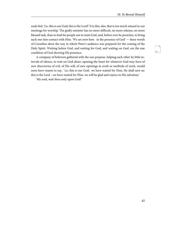souls feel, 'Lo, this is our God; this is the Lord!' It is this, alas, that is too much missed in our meetings for worship. The godly minister has no more difficult, no more solemn, no more blessed task, than to lead his people out to meet God, and, before ever he preaches, to bring each one into contact with Him. 'We are now here in the presence of God' — these words of Cornelius show the way in which Peter's audience was prepared for the coming of the Holy Spirit. Waiting before God, and waiting for God, and waiting on God, are the one condition of God showing His presence.

A company of believers gathered with the one purpose, helping each other by little intervals of silence, to wait on God alone, opening the heart for whatever God may have of new discoveries of evil, of His will, of new openings in work or methods of work, would soon have reason to say, ' Lo, this is our God; we have waited for Him, He shall save us: this is the Lord ; we have waited for Him, we will be glad and rejoice in His salvation.'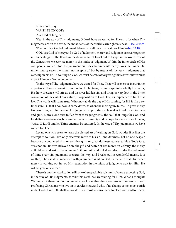94

Nineteenth Day. WAITING ON GOD:

As a God of Judgment.

'Yea, in the way of Thy judgments, O Lord, have we waited for Thee: . . . for when Thy judgments are on the earth, the inhabitants of the world learn righteousness.'[—Isa. 26:8,9.](http://www.ccel.org/study/Bible:Isa.26.8-Isa.26.9)

'The Lord is a God of judgment: blessed are all they that wait for Him.'[—Isa. 30:18](http://www.ccel.org/study/Bible:Isa.30.18).

GOD is a God of mercy and a God of judgment. Mercy and judgment are ever together in His dealings. In the flood, in the deliverance of Israel out of Egypt, in the overthrow of the Canaanites, we ever see mercy in the midst of judgment. Within the inner circle of His own people, we see it too: the judgment punishes the sin, while mercy saves the sinner. Or, rather, mercy saves the sinner, not in spite of, but by means of, the very judgment that came upon his sin. In waiting on God, we must beware of forgetting this: as we wait we must expect Him as a God of judgment.

'In the way of Thy judgments, have we waited for Thee.' That will prove true in our inner experience. If we are honest in our longing for holiness, in our prayer to be wholly the Lord's, His holy presence will stir up and discover hidden sin, and bring us very low in the bitter conviction of the evil of our nature, its opposition to God's law, its impotence to fulfil that law. The words will come true, 'Who may abide the day of His coming, for HE is like a refiner's fire.' 'O that Thou would come down, as when the melting fire burns!' In great mercy God executes, within the soul, His judgments upon sin, as He makes it feel its wickedness and guilt. Many a one tries to flee from these judgments: the soul that longs for God, and for deliverance from sin, bows under them in humility and in hope. In silence of soul it says, 'Arise, O Lord! and let Thine enemies be scattered. In the way of Thy judgments we have waited for Thee.'

Let no one who seeks to learn the blessed art of waiting on God, wonder if at first the attempt to wait on Him only discovers more of his sin and darkness. Let no one despair because unconquered sins, or evil thoughts, or great darkness appear to hide God's face. Was not, in His own Beloved Son, the gift and bearer of His mercy on Calvary, the mercy as if hidden and lost in the judgment? Oh, submit, and sink down deep under the judgment of thine every sin: judgment prepares the way, and breaks out in wonderful mercy. It is written, 'Thou shalt be redeemed with judgment.' Wait on God, in the faith that His tender mercy is working out in you His redemption in the midst of judgment: wait for Him, He will be gracious to thee.

There is another application still, one of unspeakable solemnity. We are expecting God, in the way of His judgments, to visit this earth: we are waiting for Him. What a thought! We know of these coming judgments; we know that there are tens of thousands of our professing Christians who live on in carelessness, and who, if no change come, must perish under God's hand. Oh, shall we not do our utmost to warn them, to plead with and for them,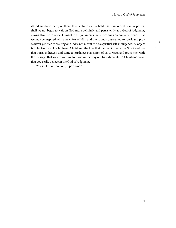if God may have mercy on them. If we feel our want of boldness, want of zeal, want of power, shall we not begin to wait on God more definitely and persistently as a God of judgment, asking Him so to reveal Himself in the judgments that are coming on our very friends, that we may be inspired with a new fear of Him and them, and constrained to speak and pray as never yet. Verily, waiting on God is not meant to be a spiritual self-indulgence. Its object is to let God and His holiness, Christ and the love that died on Calvary, the Spirit and fire that burns in heaven and came to earth, get possession of us, to warn and rouse men with the message that we are waiting for God in the way of His judgments. O Christian! prove that you really believe in the God of judgment.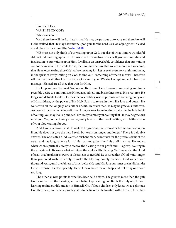98

99

Twentieth Day. WAITING ON GOD: Who waits on us.

'And therefore will the Lord wait, that He may be gracious unto you; and therefore will He be exalted, that He may have mercy upon you: for the Lord is a God of judgment: blessed are all they that wait for Him.'—[Isa. 30:18](http://www.ccel.org/study/Bible:Isa.30.18)

WE must not only think of our waiting upon God, but also of what is more wonderful still, of God's waiting upon us. The vision of Him waiting on us, will give new impulse and inspiration to our waiting upon Him. It will give an unspeakable confidence that our waiting cannot be in vain. If He waits for us, then we may be sure that we are more than welcome; that He rejoices to find those He has been seeking for. Let us seek even now, at this moment, in the spirit of lowly waiting on God, to find out something of what it means: 'Therefore will the Lord wait, that He may be gracious unto you.' We shall accept and echo back the message: 'Blessed are all they that wait for Him.'

Look up and see the great God upon His throne. He is Love—an unceasing and inexpressible desire to communicate His own goodness and blessedness to all His creatures. He longs and delights to bless. He has inconceivably glorious purposes concerning every one of His children, by the power of His Holy Spirit, to reveal in them His love and power. He waits with all the longings of a father's heart. He waits that He may be gracious unto you. And each time you come to wait upon Him, or seek to maintain in daily life the holy habit of waiting, you may look up and see Him ready to meet you, waiting that He may be gracious unto you. Yes, connect every exercise, every breath of the life of waiting, with faith's vision of your God waiting for you.

And if you ask, how is it, if He waits to be gracious, that even after I come and wait upon Him, He does not give the help I seek, but waits on longer and longer? There is a double answer. The one is this: God is a wise husbandman, 'who waits for the precious fruit of the earth, and has long patience for it.' He cannot gather the fruit until it is ripe. He knows when we are spiritually ready to receive the blessing to our profit and His glory. Waiting in the sunshine of His love is what will ripen the soul for His blessing. Waiting under the cloud of trial, that breaks in showers of blessing, is as needful. Be assured that if God waits longer than you could wish, it is only to make the blessing doubly precious. God waited four thousand years, until the fulness of time, before He sent His Son: our times are in His hands: He will avenge His elect speedily: He will make haste for our help, and not delay one hour too long.

The other answer points to what has been said before. The giver is more than the gift; God is more than the blessing; and our being kept waiting on Him is the only way for our learning to find our life and joy in Himself. Oh, if God's children only knew what a glorious God they have, and what a privilege it is to be linked in fellowship with Himself, then they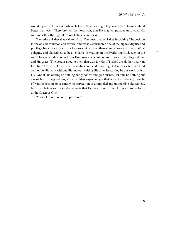would rejoice in Him, even when He keeps them waiting. They would learn to understand better than ever; 'Therefore will the Lord wait, that He may be gracious unto you.' His waiting will be the highest proof of His graciousness.

'Blessed are all they that wait for Him.' Our queen has her ladies-in-waiting. The position is one of subordination and service, and yet it is considered one of the highest dignity and privilege, because a wise and gracious sovereign makes them companions and friends. What a dignity and blessedness to be attendants-in-waiting on the Everlasting God, ever on the watch for every indication of His will or favor, ever conscious of His nearness, His goodness, and His grace! 'The Lord is good to them that wait for Him.' 'Blessed are all they that wait for Him.' Yes, it is blessed when a waiting soul and a waiting God meet each other. God cannot do His work without His and our waiting His time: let waiting be our work, as it is His. And if His waiting be nothing but goodness and graciousness, let ours be nothing but a rejoicing in that goodness, and a confident expectancy of that grace. And let every thought of waiting become to us simply the expression of unmingled and unutterable blessedness, because it brings us to a God who waits that He may make Himself known to us perfectly as the Gracious One.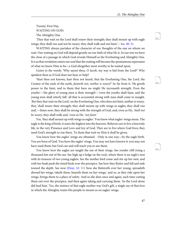102

103

Twenty-First Day. WAITING ON GOD:

The Almighty One.

'They that wait on the Lord shall renew their strength; they shall mount up with eagle wings; they shall run and not be weary; they shall walk and not faint.'—[Isa. 40: 31.](http://www.ccel.org/study/Bible:Isa.40.31)

WAITING always partakes of the character of our thoughts of the one on whom we wait. Our waiting on God will depend greatly on our faith of what He is. In our text we have the close of a passage in which God reveals Himself as the Everlasting and Almighty One. It is as that revelation enters our soul that the waiting will become the spontaneous expression of what we know Him to be—a God altogether most worthy to be waited upon.

Listen to the words: 'Why sayest thou, O Jacob, my way is hid from the Lord?' Why speakest thou as if God does not hear or help?

'Hast thou not known, hast thou not heard, that the Everlasting One, the Lord, the Creator of the ends of the earth, *fainteth not, neither is weary*?' So far from it, 'He giveth power to the faint, and to them that have no might He increaseth strength. Even the youths'—'the glory of young men is their strength'—'even the youths shall faint, and the young men shall utterly fall:' all that is accounted strong with man shall come to nought. 'But they that wait on the Lord,' on the Everlasting One, who does not faint, neither is weary, they 'shall renew their strength; they shall mount up with wings as eagles; they shall run and,'—listen now, they shall be strong with the strength of God, and, even as He, 'shall not be weary; they shall walk and,' even as He, 'not faint.'

Yes, 'they shall mount up with wings as eagles.' You know what eagles' wings mean. The eagle is the king of birds, it soars the highest into the heavens. Believers are to live a heavenly life, in the very Presence and Love and Joy of God. They are to live where God lives; they need God's strength to rise there. To them that wait on Him it shall be given.

You know how the eagles' wings are obtained. Only in one way—by the eagle birth. You are born of God. You have the eagles' wings. You may not have known it: you may not have used them; but God can and will teach you to use them.

You know how the eagles are taught the use of their wings. See yonder cliff rising a thousand feet out of the sea. See high up a ledge on the rock, where there is an eagle's nest with its treasure of two young eaglets. See the mother bird come and stir up her nest, and with her beak push the timid birds over the precipice. See how they flutter and fall and sink toward the depth. See now [\(Deut. 32: 11](http://www.ccel.org/study/Bible:Deut.32.11)) 'how she fluttereth over her young, spreadeth abroad her wings, taketh them, beareth them on her wings,' and so, as they ride upon her wings, brings them to a place of safety. And so she does once and again, each time casting them out over the precipice, and then again taking and carrying them. 'So the Lord alone did lead him.' Yes, the instinct of that eagle mother was God's gift, a single ray of that love in which the Almighty trains His people to mount as on eagles' wings.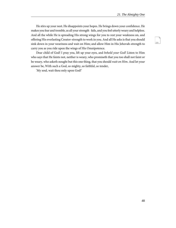He stirs up your nest. He disappoints your hopes. He brings down your confidence. He makes you fear and tremble, as all your strength fails, and you feel utterly weary and helpless. And all the while He is spreading His strong wings for you to rest your weakness on, and offering His everlasting Creator-strength to work in you. And all He asks is that you should sink down in your weariness and wait on Him; and allow Him in His Jehovah-strength to carry you as you ride upon the wings of His Omnipotence.

Dear child of God! I pray you, lift up your eyes, and behold your God! Listen to Him who says that He faints not, neither is weary, who promiseth that you too shall not faint or be weary, who asketh nought but this one thing, that you should wait on Him. And let your answer be, With such a God, so mighty, so faithful, so tender,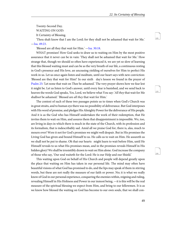120

106

Twenty-Second Day.

WAITING ON GOD:

It Certainty of Blessing.

'Thou shalt know that I am the Lord; for they shall not be ashamed that wait for Me.'  $-$ Isa. 49:23.

'Blessed are all they that wait for Him.' [—Isa. 30:18](http://www.ccel.org/study/Bible:Isa.30.18).

WHAT promises! How God seeks to draw us to waiting on Him by the most positive assurance that it never can be in vain: 'They shall not be ashamed that wait for Me.' How strange that, though we should so often have experienced it, we are yet so slow of learning that this blessed waiting must and can be as the very breath of our life, a continuous resting in God's presence and His love, an unceasing yielding of ourselves for Him to perfect His work in us. Let us once again listen and meditate, until our heart says with new conviction: 'Blessed are they that wait for Him!' In our sixth day's lesson we found in the prayer of [Psalm 25:](http://www.ccel.org/study/Bible:Ps.25) 'Let none that wait on Thee be ashamed.' The very prayer shows how we fear lest it might be. Let us listen to God's answer, until every fear is banished, and we send back to heaven the words God speaks, Yes, Lord, we believe what You say: 'All they that wait for Me shallnot be ashamed.' 'Blessed are all they that wait for Him.'

The context of each of these two passages points us to times when God's Church was in great straits, and to human eye there was no possibility of deliverance. But God interposes with His word of promise, and pledges His Almighty Power for the deliverance of His people. And it is as the God who has Himself undertaken the work of their redemption, that He invites them to wait on Him, and assures them that disappointment is impossible. We, too, are living in days in which there is much in the state of the Church, with its profession and its formalism, that is indescribably sad. Amid all we praise God for, there is, alas, much to mourn over! Were it not for God's promises we might well despair. But in His promises the Living God has given and bound Himself to us. He calls us to wait on Him. He assureth us we shall not be put to shame. Oh that our hearts might learn to wait before Him, until He Himself reveals to us what His promises mean, and in the promises reveals Himself in His hidden glory! We shall be irresistibly drawn to wait on Him alone. God increase the company of those who say, 'Our soul waiteth for the Lord: He is our Help and our Shield.'

This waiting upon God on behalf of His Church and people will depend greatly upon the place that waiting on Him has taken in our personal life. The mind may often have beautiful visions of what God has promised to do, and the lips may speak of them in stirring words, but these are not really the measure of our faith or power. No; it is what we really know of God in our personal experience, conquering the enemies within, reigning and ruling, revealing Himself in His Holiness and Power in our inmost being, —it is this will be the real measure of the spiritual blessing we expect from Him, and bring to our fellowmen. It is as we know how blessed the waiting on God has become to our own souls, that we shall con-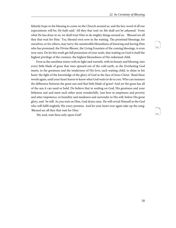$109$ 

fidently hope in the blessing to come on the Church around us, and the key-word of all our expectations will be; He hath said: 'All they that wait on Me shall not be ashamed.' From what He has done in us, we shall trust Him to do mighty things around us. 'Blessed are all they that wait for Him.' Yes, blessed even now in the waiting. The promised blessings, for ourselves, or for others, may tarry; the unutterable blessedness of knowing and having Him who has promised, the Divine Blesser, the Living Fountain of the coming blessings, is even now ours. Do let this truth get full possession of your souls, that waiting on God is itself the highest privilege of the creature, the highest blessedness of His redeemed child.

Even as the sunshine enters with its light and warmth, with its beauty and blessing, into every little blade of grass that rises upward out of the cold earth, so the Everlasting God meets, in the greatness and the tenderness of His love, each waiting child, to shine in his heart 'the light of the knowledge of the glory of God in the face of Jesus Christ.' Read these words again, until your heart learns to know what God waits to do to you. Who can measure the difference between the great sun and that little blade of grass? And yet the grass has all of the sun it can need or hold. Do believe that in waiting on God, His greatness and your littleness suit and meet each other most wonderfully. Just how in emptiness and poverty and utter impotence, in humility and meekness and surrender to His will, before His great glory, and be still. As you wait on Him, God draws near. He will reveal Himself as the God who will fulfil mightily His every promise. And let your heart ever again take up the song: 'Blessed are all they that wait for Him.'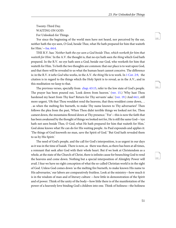111

112

Twenty-Third Day. WAITING ON GOD: For Unlooked-for Things.

'For since the beginning of the world men have not heard, nor perceived by the ear, neither hath the eye seen, O God, beside Thee, what He hath prepared for him that waiteth for Him.'[—Isa. 64:4](http://www.ccel.org/study/Bible:Isa.64.4).

THE R.V. has: 'Neither hath the eye seen a God beside Thee, which worketh for him that waiteth for Him.' In the A.V. the thought is, that no eye hath seen the thing which God hath prepared. In the R.V. no eye hath seen a God, beside our God, who worketh for him that waiteth for Him. To both the two thoughts are common: that our place is to wait upon God, and that there will be revealed to us what the human heart cannot conceive. The difference is: in the R.V. it isthe God who works, in the A.V. the thing He is to work. In [1 Cor. 2:9,](http://www.ccel.org/study/Bible:1Cor.2.9) the citation is in regard to the things which the Holy Spirit is to reveal, as in the A.V., and in this meditation we keep to that.

The previous verses, specially from [chap. 63:15](http://www.ccel.org/study/Bible:Isa.63.15), refer to the low state of God's people. The prayer has been poured out, 'Look down from heaven.' [\(ver. 15](http://www.ccel.org/study/Bible:Isa.63.15).) 'Why hast Thou hardened my heart from Thy fear? Return for Thy servants' sake.' ([ver. 19](http://www.ccel.org/study/Bible:Isa.63.19).) And [64:1,](http://www.ccel.org/study/Bible:Isa.64.1) still more urgent, 'Oh that Thou wouldest rend the heavens, that thou wouldest come down, . . . as when the melting fire burneth, to make Thy name known to Thy adversaries!' Then follows the plea from the past, 'When Thou didst terrible things we looked not for, Thou camest down, the mountains flowed down at Thy presence.' 'For'—this is now the faith that has been awakened by the thought of things we looked not for, He is still the same God—'eye hath not seen beside Thee, O God, what He hath prepared for him that waiteth for Him.' God alone knows what He can do for His waiting people. As Paul expounds and applies it: 'The things of God knoweth no man, save the Spirit of God.' 'But God hath revealed them to us by His Spirit.'

The need of God's people, and the call for God's interposition, is as urgent in our days as it was in the time of Isaiah. There is now, as there was then, as there has been at all times, a remnant that seek after God with their whole heart. But if we look at Christendom as a whole, at the state of the Church of Christ, there is infinite cause for beseeching God to rend the heavens and come down. Nothing but a special interposition of Almighty Power will avail. I fear we have no right conception of what the so-called Christian world is in the sight of God. Unless God comes down 'as the melting fire burneth, to make known His name to His adversaries,' our labors are comparatively fruitless. Look at the ministry—how much it is in the wisdom of man and of literary culture —how little in demonstration of the Spirit and of power. Think of the unity of the body—how little there is of the manifestation of the power of a heavenly love binding God's children into one. Think of holiness—the holiness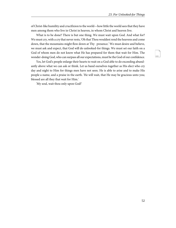of Christ-like humility and crucifixion to the world—how little the world sees that they have men among them who live in Christ in heaven, in whom Christ and heaven live.

What is to be done? There is but one thing. We must wait upon God. And what for? We must cry, with a cry that never rests, 'Oh that Thou wouldest rend the heavens and come down, that the mountains might flow down at Thy presence.' We must desire and believe, we must ask and expect, that God will do unlooked-for things. We must set our faith on a God of whom men do not know what He has prepared for them that wait for Him. The wonder-doing God, who can surpass all our expectations, must be the God of our confidence.

Yes, let God's people enlarge their hearts to wait on a God able to do exceeding abundantly above what we can ask or think. Let us band ourselves together as His elect who cry day and night to Him for things men have not seen. He is able to arise and to make His people a name, and a praise in the earth. 'He will wait, that He may be gracious unto you; blessed are all they that wait for Him.'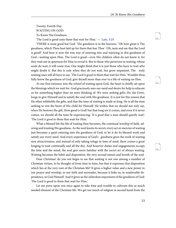115

116

Twenty-Fourth Day. WAITING ON GOD: To Know His Goodness. The Lord is good unto them that wait for  $\text{Him.'}$  — [Lam. 3:25](http://www.ccel.org/study/Bible:Lam.3.25)

'THERE is none good but God.' 'His goodness is in the heavens.' 'Oh how great is Thy goodness, which Thou hast laid up for them that fear Thee ' 'Oh, taste and see that the Lord is good!' And here is now the true way of entering into and rejoicing in this goodness of God—waiting upon Him. The Lord is good—even His children often do not know it, for they wait not in quietness for Him to reveal it. But to those who persevere in waiting, whose souls do wait, it will come true. One might think that it is just those who have to wait who might doubt it. But this is only when they do not wait, but grow impatient. The truly waiting ones will all have to say, 'The Lord is good to them that wait for Him.' Wouldst thou fully know the goodness of God, give thyself more than ever to a life of waiting on Him.

At our first entrance into the school of waiting upon God, the heart is chiefly set upon the blessings which we wait for. God graciously uses our need and desire for help to educate us for something higher than we were thinking of. We were seeking gifts; He, the Giver, longs to give Himself and to satisfy the soul with His goodness. It is just for this reason that He often withholds the gifts, and that the time of waiting is made so long. He is all the time seeking to win the heart of His child for Himself. He wishes that we should not only say, when He bestows the gift, How good is God! but that long ere it comes, and even if it never comes, we should all the time be experiencing: 'It is good that a man should quietly wait': 'The Lord is good to them that wait for Him.'

What a blessed life the life of waiting then becomes, the continual worship of faith, adoring and trusting His goodness. As the soul learns its secret, every act or exercise of waiting just becomes a quiet entering into the goodness of God, to let it do its blessed work and satisfy our every need. And every experience of God's goodness gives the work of waiting new attractiveness, and instead of only taking refuge in time of need, there comes a great longing to wait continually and all the day. And however duties and engagements occupy the time and the mind, the soul gets more familiar with the secret art of always waiting. Waiting becomes the habit and disposition, the very second nature and breath of the soul.

Dear Christian! do you not begin to see that waiting is not one among a number of Christian virtues, to be thought of from time to time, but that it expresses that disposition which lies at the very root of the Christian life? It gives a higher value and a new power to our prayer and worship, to our faith and surrender, because it links us, in unalterable dependence, to God Himself. And it gives us the unbroken enjoyment of the goodness of God: 'The Lord is good to them that wait for Him.'

Let me press upon you once again to take time and trouble to cultivate this so much needed element of the Christian life. We get too much of religion at second hand from the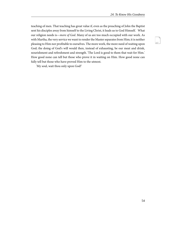teaching of men. That teaching has great value if, even as the preaching of John the Baptist sent his disciples away from himself to the Living Christ, it leads us to God Himself. What our religion needs is—more of God. Many of us are too much occupied with our work. As with Martha, the very service we want to render the Master separates from Him; it is neither pleasing to Him nor profitable to ourselves. The more work, the more need of waiting upon God; the doing of God's will would then, instead of exhausting, be our meat and drink, nourishment and refreshment and strength. 'The Lord is good to them that wait for Him.' How good none can tell but those who prove it in waiting on Him. How good none can fully tell but those who have proved Him to the utmost.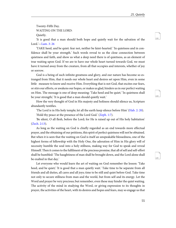119

120

Twenty-Fifth Day. WAITING ON THE LORD: Quietly.

'It is good that a man should both hope and quietly wait for the salvation of the Lord.'—[Lam. 3: 26](http://www.ccel.org/study/Bible:Lam.3.26)

'TAKE heed, and be quiet: fear not, neither be faint-hearted.' 'In quietness and in confidence shall be your strength.' Such words reveal to us the close connection between quietness and faith, and show us what a deep need there is of quietness, as an element of true waiting upon God. If we are to have our whole heart turned towards God, we must have it turned away from the creature, from all that occupies and interests, whether of joy or sorrow.

God is a being of such infinite greatness and glory, and our nature has become so estranged from Him, that it needs our whole heart and desires set upon Him, even in some little measure to know and receive Him. Everything that is not God, that excites our fears, or stirs our efforts, or awakens our hopes, or makes us glad, hinders us in our perfect waiting on Him. The message is one of deep meaning: 'Take heed and be quiet;' 'In quietness shall be your strength;' 'It is good that a man should quietly wait.'

How the very thought of God in His majesty and holiness should silence us, Scripture abundantly testifies.

'The Lord is in His holy temple; let all the earth keep silence before Him' ([Hab. 2: 20](http://www.ccel.org/study/Bible:Hab.2.20)). 'Hold thy peace at the presence of the Lord God.' ([Zeph. 1:7\)](http://www.ccel.org/study/Bible:Zeph.1.7).

'Be silent, O all flesh, before the Lord; for He is raised up out of His holy habitation' ([Zech. 2:13\)](http://www.ccel.org/study/Bible:Zech.2.13).

As long as the waiting on God is chiefly regarded as an end towards more effectual prayer, and the obtaining of our petitions, this spirit of perfect quietness will not be obtained. But when it is seen that the waiting on God is itself an unspeakable blessedness, one of the highest forms of fellowship with the Holy One, the adoration of Him in His glory will of necessity humble the soul into a holy stillness, making way for God to speak and reveal Himself. Then it comes to the fulfilment of the precious promise, that all of self and self-effort shall be humbled: 'The haughtiness of man shall be brought down, and the Lord alone shall be exalted in that day.'

Let everyone who would learn the art of waiting on God remember the lesson: 'Take heed, and be quiet;' 'It is good that a man quietly wait.' Take time to be separate from all friends and all duties, all cares and all joys; time to be still and quiet before God. Take time not only to secure stillness from man and the world, but from self and its energy. Let the Word and prayer be very precious; but remember, even these may hinder the quiet waiting. The activity of the mind in studying the Word, or giving expression to its thoughts in prayer, the activities of the heart, with its desires and hopes and fears, may so engage us that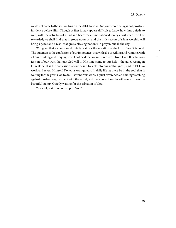we do not come to the still waiting on the All-Glorious One; our whole being is not prostrate in silence before Him. Though at first it may appear difficult to know how thus quietly to wait, with the activities of mind and heart for a time subdued, every effort after it will be rewarded; we shall find that it grows upon us, and the little season of silent worship will bring a peace and a rest that give a blessing not only in prayer, but all the day.

'It is good that a man should quietly wait for the salvation of the Lord.' Yes, it is good. The quietness is the confession of our impotence, that with all our willing and running, with all our thinking and praying, it will not be done: we must receive it from God. It is the confession of our trust that our God will in His time come to our help—the quiet resting in Him alone. It is the confession of our desire to sink into our nothingness, and to let Him work and reveal Himself. Do let us wait quietly. In daily life let there be in the soul that is waiting for the great God to do His wondrous work, a quiet reverence, an abiding watching against too deep engrossment with the world, and the whole character will come to bear the beautiful stamp: Quietly waiting for the salvation of God.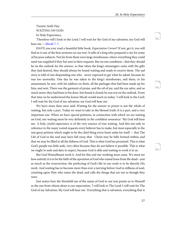$123$ 

124

Twenty-Sixth Day. WAITING ON GOD:

In Holy Expectancy.

'Therefore will I look to the Lord; I will wait for the God of my salvation; my God will hear me.'[—Micah 7: 7.](http://www.ccel.org/study/Bible:Mic.7.7)

HAVE you ever read a beautiful little book, Expectation Corner? If not, get it; you will find in it one of the best sermons on our text. It tells of a king who prepared a city for some of his poor subjects. Not far from them were large storehouses, where everything they could need was supplied if they but sent in their requests. But on one condition—that they should be on the outlook for the answer, so that when the king's messengers came with the gifts they had desired, they should always be found waiting and ready to receive them. The sad story is told of one desponding one who never expected to get what he asked, because he was too unworthy. One day he was taken to the king's storehouses, and there, to his amazement, he saw, with his address on them, all the packages that had been made up for him, and sent. There was the garment of praise, and the oil of joy, and the eye salve, and so much more; they had been to his door, but found it closed; he was not on the outlook. From that time on he understood the lesson Micah would teach us today; 'I will look to the Lord; I will wait for the God of my salvation; my God will hear me.'

We have more than once said: Waiting for the answer to prayer is not the whole of waiting, but only a part. Today we want to take in the blessed truth: It is a part, and a very important one. When we have special petitions, in connection with which we are waiting on God, our waiting must be very definitely in the confident assurance: 'My God will hear me.' A holy, joyful expectancy is of the very essence of true waiting. And this not only in reference to the many varied requests every believer has to make, but most especially to the one great petition which ought to be the chief thing every heart seeks for itself — that The Life of God in the soul may have full sway; that Christ may be fully formed within; and that we may be filled to all the fullness of God. This is what God has promised. This is what God's people too little seek, very often because they do not believe it possible. This is what we ought to seek and dare to expect, because God is able and waiting to work it in us.

But God Himselfmust work it. And for this end our working must cease. We must see how entirely it is to be the faith of the operation of God who raised Jesus from the dead—just as much as the resurrection, the perfecting of God's life in our souls is to be directly His work. And waiting has to become more than ever a tarrying before God in stillness of soul, counting upon Him who raises the dead, and calls the things that are not as though they were.

Just notice how the threefold use of the name of God in our text points us to Himself as the one from whom alone is our expectation. 'I will look to The Lord; I will wait for The God of my Salvation; My God will hear me.' Everything that is salvation, everything that is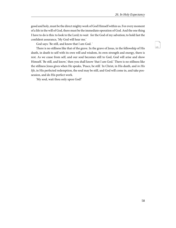good and holy, must be the direct mighty work of God Himself within us. For every moment of a life in the will of God, there must be the immediate operation of God. And the one thing I have to do is this: to look to the Lord; to wait for the God of my salvation; to hold fast the confident assurance, 'My God will hear me.'

God says: 'Be still, and know that I am God. '

There is no stillness like that of the grave. In the grave of Jesus, in the fellowship of His death, in death to self with its own will and wisdom, its own strength and energy, there is rest. As we cease from self, and our soul becomes still to God, God will arise and show Himself. 'Be still, and know,' then you shall know 'that I am God.' There is no stillness like the stillness Jesus gives when He speaks, 'Peace, be still.' In Christ, in His death, and in His life, in His perfected redemption, the soul may be still, and God will come in, and take possession, and do His perfect work.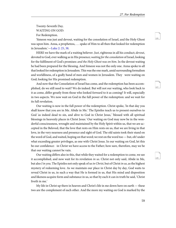$127$ 

128

Twenty-Seventh Day. WAITING ON GOD:

For Redemption.

'Simeon was just and devout, waiting for the consolation of Israel, and the Holy Ghost was upon him. Anna, a prophetess, . . . spake of Him to all then that looked for redemption in Jerusalem.'—[Luke 2: 25,](http://www.ccel.org/study/Bible:Luke.2.25) [38](http://www.ccel.org/study/Bible:Luke.2.38).

HERE we have the mark of a waiting believer. Just, righteous in all his conduct; *devout*, devoted to God, ever walking as in His presence; waiting for the consolation of Israel, looking for the fulfilment of God's promises: and the Holy Ghost was on him. In the devout waiting he had been prepared for the blessing. And Simeon was not the only one. Anna spoke to all that looked for redemption in Jerusalem. This was the one mark, amid surrounding formalism and worldliness, of a godly band of men and women in Jerusalem. They were waiting on God; looking for His promised redemption.

And now that the Consolation of Israel has come, and the redemption has been accomplished, do we still need to wait? We do indeed. But will not our waiting, who look back to it as come, differ greatly from those who looked forward to it as coming? It will, especially in two aspects. We now wait on God in the full power of the redemption: and we wait for its full revelation.

Our waiting is now in the full power of the redemption. Christ spoke, 'In that day you shall know that you are in Me. Abide in Me.' The Epistles teach us to present ourselves to God 'as indeed dead to sin, and alive to God in Christ Jesus,' 'blessed with all spiritual blessings in heavenly places in Christ Jesus.' Our waiting on God may now be in the wonderful consciousness, wrought and maintained by the Holy Spirit within us, that we are accepted in the Beloved, that the love that rests on Him rests on us, that we are living in that love, in the very nearness and presence and sight of God. The old saints took their stand on the word of God, and waited, hoping on that word; we rest on the word too — but, oh! under what exceeding greater privileges, as one with Christ Jesus. In our waiting on God, let this be our confidence: in Christ we have access to the Father; how sure, therefore, may we be that our waiting cannot be vain.

Our waiting differs also in this, that while they waited for a redemption to come, we see it accomplished, and now wait for its revelation *in us*. Christ not only said, Abide in Me, but also I in you. The Epistles not only speak of us in Christ, but of Christ in us, as the highest mystery of redeeming love. As we maintain our place in Christ day by day, God waits to reveal Christ in us, in such a way that He is formed in us, that His mind and disposition and likeness acquire form and substance in us, so that by each it can in truth be said, 'Christ liveth in me

My life in Christ up there in heaven and Christ's life in me down here on earth — these two are the complement of each other. And the more my waiting on God is marked by the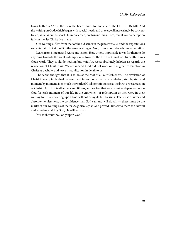living faith I in Christ, the more the heart thirsts for and claims the CHRIST IN ME. And the waiting on God, which began with special needs and prayer, will increasingly be concentrated, as far as our personal life is concerned, on this one thing, Lord, reveal Your redemption fully in me; let Christ live in me.

Our waiting differs from that of the old saints in the place we take, and the expectations we entertain. But at root it is the same: waiting on God, from whom alone is our expectation.

Learn from Simeon and Anna one lesson. How utterly impossible it was for them to do anything towards the great redemption — towards the birth of Christ or His death. It was God's work. They could do nothing but wait. Are we as absolutely helpless as regards the revelation of Christ in us? We are indeed. God did not work out the great redemption in Christ as a whole, and leave its application in detail to us.

The secret thought that it is so lies at the root of all our feebleness. The revelation of Christ in every individual believer, and in each one the daily revelation, step by step and moment by moment, is as much the work of God's omnipotence as the birth or resurrection of Christ. Until this truth enters and fills us, and we feel that we are just as dependent upon God for each moment of our life in the enjoyment of redemption as they were in their waiting for it, our waiting upon God will not bring its full blessing. The sense of utter and absolute helplessness, the confidence that God can and will do all, — these must be the marks of our waiting as of theirs. As gloriously as God proved Himself to them the faithful and wonder-working God, He will to us also.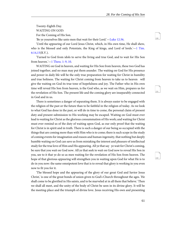131

132

Twenty-Eighth Day. WAITING ON GOD: For the Coming of His Son.

'Be ye yourselves like unto men that wait for their Lord.'—[Luke 12:36.](http://www.ccel.org/study/Bible:Luke.12.36)

'Until the appearing of our Lord Jesus Christ, which, in His own time, He shall shew, who is the blessed and only Potentate, the King of kings, and Lord of lords.'[—1 Tim.](http://www.ccel.org/study/Bible:1Tim.6.14-1Tim.6.15) [6:14,15](http://www.ccel.org/study/Bible:1Tim.6.14-1Tim.6.15)(R.V.).

'Turned to God from idols to serve the living and true God, and to wait for His Son from heaven.'[—1 Thess. 1: 9, 10](http://www.ccel.org/study/Bible:Luke.12.36).

WAITING on God in heaven, and waiting for His Son from heaven, these two God has joined together, and no man may put them asunder. The waiting on God for His presence and power in daily life will be the only true preparation for waiting for Christ in humility and true holiness. The waiting for Christ coming from heaven to take us to heaven will give the waiting on God its true tone of hopefulness and joy. The Father who in His own time will reveal His Son from heaven, is the God who, as we wait on Him, prepares us for the revelation of His Son. The present life and the coming glory are inseparably connected in God and in us.

There is sometimes a danger of separating them. It is always easier to be engaged with the religion of the past or the future than to be faithful in the religion of today. As we look to what God has done in the past, or will do in time to come, the personal claim of present duty and present submission to His working may be escaped. Waiting on God must ever lead to waiting for Christ as the glorious consummation of His work; and waiting for Christ must ever remind us of the duty of waiting upon God, as our only proof that the waiting for Christ is in spirit and in truth. There is such a danger of our being so occupied with the things that are coming more than with Him who is to come; there is such scope in the study of coming events for imagination and reason and human ingenuity, that nothing but deeply humble waiting on God can save us from mistaking the interest and pleasure of intellectual study for the true love of Him and His appearing. All ye that say ye wait for Christ's coming, be sure that you wait on God now. All ye that seek to wait on God now to reveal His Son in you, see to it that ye do so as men waiting for the revelation of His Son from heaven. The hope of that glorious appearing will strengthen you in waiting upon God for what He is to do in you now: the same omnipotent love that is to reveal that glory is working in you even now to fit you for it.

'The blessed hope and the appearing of the glory of our great God and Savior Jesus Christ,' is one of the great bonds of union given to God's Church throughout the ages. 'He shall come to be glorified in His saints, and to be marveled at in all them that believe.' Then we shall all meet, and the unity of the body of Christ be seen in its divine glory. It will be the meeting-place and the triumph of divine love. Jesus receiving His own and presenting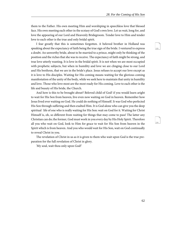134

them to the Father. His own meeting Him and worshiping in speechless love that blessed face. His own meeting each other in the ecstasy of God's own love. Let us wait, long for, and love the appearing of our Lord and Heavenly Bridegroom. Tender love to Him and tender love to each other is the true and only bridal spirit.

I fear greatly that this is sometimes forgotten. A beloved brother in Holland was speaking about the expectancy of faith being the true sign of the bride. I ventured to express a doubt. An unworthy bride, about to be married to a prince, might only be thinking of the position and the riches that she was to receive. The expectancy of faith might be strong, and true love utterly wanting. It is love in the bridal spirit. It is not when we are most occupied with prophetic subjects, but when in humility and love we are clinging close to our Lord and His brethren, that we are in the bride's place. Jesus refuses to accept our love except as it is love to His disciples. Waiting for His coming means waiting for the glorious coming manifestation of the unity of the body, while we seek here to maintain that unity in humility and love. Those who love most are the most ready for His coming. Love to each other is the life and beauty of His bride, the Church.

And how is this to be brought about? Beloved child of God! if you would learn aright to wait for His Son from heaven, live even now waiting on God in heaven. Remember how Jesus lived ever waiting on God. He could do nothing of Himself. It was God who perfected His Son through suffering and then exalted Him. It is God alone who can give you the deep spiritual life of one who is really waiting for His Son: wait on God for it. Waiting for Christ Himself is, oh, so different from waiting for things that may come to pass! The latter any Christian can do; the former, God must work in you every day by His Holy Spirit. Therefore all you who wait on God, look to Him for grace to wait for His Son from heaven in the Spirit which is from heaven. And you who would wait for His Son, wait on God continually to reveal Christ in you.

The revelation of Christ in us as it is given to them who wait upon God is the true preparation for the full revelation of Christ in glory.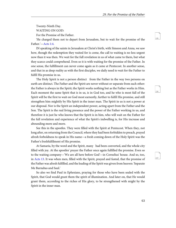136

137

Twenty-Ninth Day. WAITING ON GOD: For the Promise of the Father.

'He charged them not to depart from Jerusalem, but to wait for the promise of the Father.'[—Acts 1:4](http://www.ccel.org/study/Bible:Acts.1.4).

IN speaking of the saints in Jerusalem at Christ's birth, with Simeon and Anna, we saw how, though the redemption they waited for is come, the call to waiting is no less urgent now than it was then. We wait for the full revelation in us of what came to them, but what they scarce could comprehend. Even so it is with waiting for the promise of the Father. In one sense, the fulfillment can never come again as it came at Pentecost. In another sense, and that in as deep reality as with the first disciples, we daily need to wait for the Father to fulfil His promise in us.

The Holy Spirit is not a person distinct from the Father in the way two persons on earth are distinct. The Father and the Spirit are never without or separate from each other: the Father is always in the Spirit; the Spirit works nothing but as the Father works in Him. Each moment the same Spirit that is in us, is in God too, and he who is most full of the Spirit will be the first to wait on God most earnestly, further to fulfil His promise, and still strengthen him mightily by His Spirit in the inner man. The Spirit in us is not a power at our disposal. Nor is the Spirit an independent power, acting apart from the Father and the Son. The Spirit is the real living presence and the power of the Father working in us, and therefore it is just he who knows that the Spirit is in him, who will wait on the Father for the full revelation and experience of what the Spirit's indwelling is, for His increase and abounding more and more.

See this in the apostles. They were filled with the Spirit at Pentecost. When they, not long after, on returning from the Council, where they had been forbidden to preach, prayed afresh forboldness to speak in His name—a fresh coming down of the Holy Spirit was the Father's freshfulfilment of His promise.

At Samaria, by the word and the Spirit, many had been converted, and the whole city filled with joy. At the apostles' prayer the Father once again fulfilled the promise. Even so to the waiting company—'We are all here before God'—in Cornelius' house. And so, too, in [Acts 13](http://www.ccel.org/study/Bible:Acts.13). It was when men, filled with the Spirit, prayed and fasted, that the promise of the Father was afresh fulfilled, and the leading of the Spirit was given from heaven: 'Separate Me Barnabas and Saul.'

So also we find Paul in Ephesians, praying for those who have been sealed with the Spirit, that God would grant them the spirit of illumination. And later on, that He would grant them, according to the riches of His glory, to be strengthened with might by the Spirit in the inner man.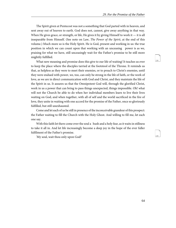The Spirit given at Pentecost was not a something that God parted with in heaven, and sent away out of heaven to earth. God does not, cannot, give away anything in that way. When He gives grace, or strength, or life, He gives it by giving Himself to work it  $-$  it is all inseparable from Himself. (See note on Law, The Power of the Spirit, at the end of this volume.) Much more so is the Holy Spirit. He is God, present and working in us: the true position in which we can count upon that working with an unceasing power is as we, praising for what we have, still unceasingly wait for the Father's promise to be still more mightily fulfilled.

What new meaning and promise does this give to our life of waiting! It teaches us ever to keep the place where the disciples tarried at the footstool of the Throne. It reminds us that, as helpless as they were to meet their enemies, or to preach to Christ's enemies, until they were endued with power, we, too, can only be strong in the life of faith, or the work of love, as we are in direct communication with God and Christ, and they maintain the life of the Spirit in us. It assures us that the Omnipotent God will, through the glorified Christ, work in us a power that can bring to pass things unexpected, things impossible. Oh! what will not the Church be able to do when her individual members learn to live their lives waiting on God, and when together, with all of self and the world sacrificed in the fire of love, they unite in waiting with one accord for the promise of the Father, once so gloriously fulfilled, but still unexhausted.

Come and let each of us be still in presence of the inconceivable grandeur of this prospect: the Father waiting to fill the Church with the Holy Ghost. And willing to fill me, let each one say.

With this faith let there come over the soul a hush and a holy fear, as it waits in stillness to take it all in. And let life increasingly become a deep joy in the hope of the ever fuller fulfilment of the Father's promise.

'My soul, wait thou only upon God!'

138

139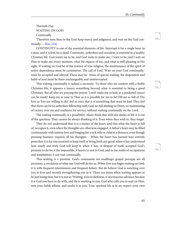141

142

Thirtieth Day. WAITING ON GOD: Continually.

'Therefore turn thou to thy God: keep mercy and judgment, and wait on thy God continually.'[—Hos. 12:6.](http://www.ccel.org/study/Bible:Hos.12.6)

CONTINUITY is one of the essential elements of life. Interrupt it for a single hour in a man, and it is lost, he is dead. Continuity, unbroken and ceaseless, is essential to a healthy Christian life. God wants me to be, and God waits to make me, I want to be, and I wait on Him to make me, every moment, what He expects of me, and what is well-pleasing in His sight. If waiting on God be of the essence of true religion, the maintenance of the spirit of entire dependence must be continuous. The call of God, 'Wait on your God continually,' must be accepted and obeyed. There may be times of special waiting: the disposition and habit of soul must be there unchangeably and uninterrupted.

This waiting continually is indeed a necessity. To those who are content with a feeble Christian life, it appears a luxury something beyond what is essential to being a good Christian. But all who are praying the prayer, 'Lord! make me as holy as a pardoned sinner can be made! Keep me as near to Thee as it is possible for me to be! Fill me as full of Thy love as You are willing to do!' feel at once that it is something that must be had. They feel that there can be no unbroken fellowship with God, no full abiding in Christ, no maintaining of victory over sin and readiness for service, without waiting continually on the Lord.

The waiting continually is a possibility. Many think that with the duties of life it is out of the question. They cannot be always thinking of it. Even when they wish to, they forget.

They do not understand that it is a matter of the heart, and that what the heart is full of, occupies it, even when the thoughts are otherwise engaged. A father's heart may be filled continuously with intense love and longing for a sick wife or child at a distance, even though pressing business requires all his thoughts. When the heart has learned how entirely powerless it is for one moment to keep itself or bring forth any good, when it has understood how surely and truly God will keep it, when it has, in despair of itself, accepted God's promise to do for it the impossible, it learns to rest in God, and in the midst of occupations and temptations it can wait continually.

This waiting is a promise. God's commands are enablings: gospel precepts are all promises, a revelation of what our God will do for us. When first you begin waiting on God, it is with frequent intermission and frequent failure. But do believe God is watching over you in love and secretly strengthening you in it. There are times when waiting appears to be just losing time, but it is not so. Waiting, even in darkness, is unconscious advance, because it is God you have to do with, and He is working in you. God who calls you to wait on Him, sees your feeble efforts, and works it in you. Your spiritual life is in no respect your own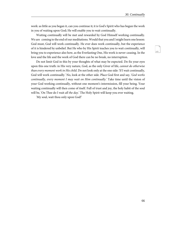work: as little as you began it, can you continue it; it is God's Spirit who has begun the work in you of waiting upon God; He will enable you to wait continually.

Waiting continually will be met and rewarded by God Himself working continually. We are coming to the end of our meditations. Would that you and I might learn one lesson: God must, God will work continually. He ever does work continually, but the experience of it is hindered by unbelief. But He who by His Spirit teaches you to wait continually, will bring you to experience also how, as the Everlasting One, His work is never-ceasing. In the love and the life and the work of God there can be no break, no interruption.

Do not limit God in this by your thoughts of what may be expected. Do fix your eyes upon this one truth: in His very nature, God, as the only Giver of life, *cannot do otherwise* than every moment work in His child. Do not look only at the one side: 'If I wait continually, God will work continually.' No, look at the other side. Place God first and say, 'God works continually, every moment I may wait on Him continually.' Take time until the vision of your God working continually, without one moment's intermission, fill your being. Your waiting continually will then come of itself. Full of trust and joy, the holy habit of the soul will be, 'On Thee do I wait all the day.' The Holy Spirit will keep you ever waiting.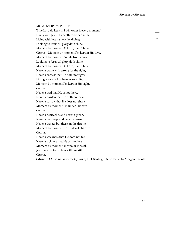MOMENT BY MOMENT

'I the Lord do keep it: I will water it every moment.'

Dying with Jesus, by death reckoned mine,

Living with Jesus a new life divine;

Looking to Jesus till glory doth shine,

Moment by moment, O Lord, I am Thine.

Chorus—Moment by moment I'm kept in His love,

Moment by moment I've life from above;

Looking to Jesus till glory doth shine;

Moment by moment, O Lord, I am Thine.

Never a battle with wrong for the right,

Never a contest that He doth not fight;

Lifting above us His banner so white,

Moment by moment I'm kept in His sight. Chorus.

Never a trial that He is not there, Never a burden that He doth not bear, Never a sorrow that He does not share, Moment by moment I'm under His care.

## Chorus

Never a heartache, and never a groan,

Never a teardrop, and never a moan;

Never a danger but there on the throne

Moment by moment He thinks of His own.

Chorus.

Never a weakness that He doth not feel,

Never a sickness that He cannot heal;

Moment by moment, in woo or in weal,

Jesus, my Savior, abides with me still.

Chorus.

(Music in Christian Endeavor Hymns by I. D. Sankey). Or on leaflet by Morgan & Scott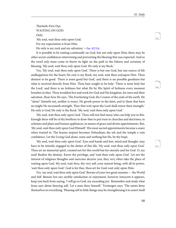<span id="page-72-1"></span>145

<span id="page-72-2"></span>146

<span id="page-72-3"></span>147

Thirtieth-First Day. WAITING ON GOD: Only. 'My soul, wait thou only upon God; For my expectation is from Him. He only is my rock and my salvation.'—[Isa. 62:5,6](http://www.ccel.org/study/Bible:Isa.62.5-Isa.62.6).

<span id="page-72-0"></span>It is possible to be waiting continually on God, but not only upon Him; there may be other secret confidences intervening and preventing the blessing that was expected. And so the word only must come to throw its light on the path to the fulness and certainty of blessing. 'My soul, wait thou only upon God. He only is my Rock.'

Yes, 'My soul, wait thou only upon God.' There is but one God, but one source of life andhappiness for the heart; He *only* is my Rock; my soul, wait thou *only* upon Him. Thou desirest to be good. 'There is none good but God,' and there is no possible goodness but what is received directly from Him. Thou hast sought to be holy: 'There is none holy but the Lord,' and there is no holiness but what He by His Spirit of holiness every moment breathes in thee. Thou wouldest live and work for God and His kingdom, for men and their salvation. Hear how He says, 'The Everlasting God, the Creator of the ends of the earth. He "alone" fainteth not, neither is weary. He giveth power to the faint, and to them that have no might He increaseth strength. They that wait upon the Lord shall renew their strength.' He only is God; He only is thy Rock: 'My soul, wait thou only upon God.'

'My soul, wait thou only upon God.' Thou will not find many who can help you in this. Enough there will be of thy brethren to draw thee to put trust in churches and doctrines, in schemes and plans and human appliances, in means of grace and divine appointments. But, 'My soul, wait thou only upon God Himself.' His most sacred appointments become a snare when trusted in. The brazen serpent becomes Nehushtan; the ark and the temple a vain confidence. Let the Living God alone, none and nothing but He, be thy hope.

'My soul, wait thou only upon God.' Eyes and hands and feet, mind and thought, may have to be intently engaged in the duties of this life; 'My soul, wait thou only upon God.' Thou art an immortal spirit, created not for this world but for eternity and for God. O, my soul! Realize thy destiny. Know thy privilege, and 'wait thou only upon God.' Let not the interest of religious thoughts and exercises deceive you; they very often take the place of waiting upon God. My soul, wait thou, thy very self, your inmost being, with all its power, 'wait thou only upon God.' God is for thee, thou art for God; wait only upon Him.

Yes, 'my soul, wait thou only upon God.' Beware of your two great enemies — the World and Self. Beware lest any earthly satisfaction or enjoyment, however innocent it appears, keep you back from saying, 'I will go to God, my exceeding joy.' Remember and study what Jesus says about denying self, 'Let a man deny himself.' Tersteegen says: 'The saints deny themselves in everything.' Pleasing self in little things may be strengthening it to assert itself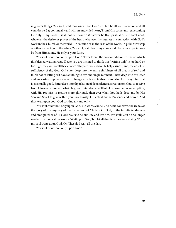<span id="page-73-0"></span>148

<span id="page-73-1"></span>149

in greater things. 'My soul, wait thou only upon God;' let Him be all your salvation and all your desire. Say continually and with an undivided heart, 'From Him comes my expectation; He only is my Rock; I shall not be moved.' Whatever be thy spiritual or temporal need, whatever the desire or prayer of thy heart, whatever thy interest in connection with God's work in the Church or the world—in solitude or in the rush of the world, in public worship or other gatherings of the saints, 'My soul, wait thou *only* upon God.' Let your expectations be from Him alone. He only is your Rock.

'My soul, wait thou only upon God.' Never forget the two foundation-truths on which this blessed waiting rests. If ever you are inclined to think this 'waiting only' is too hard or too high, they will recall thee at once. They are: your absolute helplessness; and, the absolute sufficiency of thy God. Oh! enter deep into the entire sinfulness of all that is of self, and think not of letting self have anything to say one single moment. Enter deep into thy utter and unceasing impotence ever to change what is evil in thee, or to bring forth anything that is spiritually good. Enter deep into thy relation of dependence as creature on God, to receive from Him every moment what He gives. Enter deeper still into His covenant of redemption, with His promise to restore more gloriously than ever what thou hadst lost, and by His Son and Spirit to give within you unceasingly, His actual divine Presence and Power. And thus wait upon your God continually and only.

'My soul, wait thou only upon God.' No words can tell, no heart conceive, the riches of the glory of this mystery of the Father and of Christ. Our God, in the infinite tenderness and omnipotence of His love, waits to be our Life and Joy. Oh, my soul! let it be no longer needed that I repeat the words, 'Wait upon God,' but let all that is in me rise and sing: 'Truly my soul waits upon God. On Thee do I wait all the day.'

'My soul, wait thou only upon God!'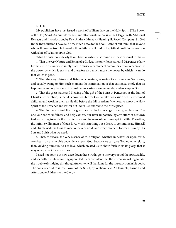<span id="page-74-0"></span>150

## NOTE.

My publishers have just issued a work of William Law on the Holy Spirit. [The Power of the Holy Spirit: An humble earnest, and affectionate Address to the Clergy. With Additonal Extracts and Introduction, by Rev. Andrew Murray. (Fleming H. Revell Company. \$1.00)] In the Introduction I have said how much I owe to the book. I cannot but think that anyone who will take the trouble to read it thoughtfully will find rich spiritual profit in connection with a life of Waiting upon God.

What he puts more clearly than I have anywhere else found are these cardinal truths:—

1. That the very Nature and Being of a God, as the only Possessor and Dispenser of any life there is in the universe, imply that He must every moment communicate to every creature the power by which it exists, and therefore also much more the power by which it can do that which is good.

2. That the very Nature and Being of a creature, as owing its existence to God alone, and equally owing to Him each moment the continuation of that existence, imply that its happiness can only be found in absolute unceasing momentary dependence upon God.

3. That the great value and blessing of the gift of the Spirit at Pentecost, as the fruit of Christ's Redemption, is that it is now possible for God to take possession of His redeemed children and work in them as He did before the fall in Adam. We need to know the Holy Spirit as the Presence and Power of God in us restored to their true place.

4. That in the spiritual life our great need is the knowledge of two great lessons. The one, our entire sinfulness and helplessness, our utter impotence by any effort of our own to do anything towards the maintenance and increase of our inner spiritual life. The other, the infinite willingness of God's love, which is nothing but a desire to communicate Himself and His blessedness to us to meet our every need, and every moment to work us in by His Son and Spirit what we need.

5. That, therefore, the very essence of true religion, whether in heaven or upon earth, consists in an unalterable dependence upon God, because we can give God no other glory, than yielding ourselves to His love, which created us to show forth in us its glory, that it may now perfect its work in us.

I need not point out how deep down these truths go to the very root of the spiritual life, and specially the life of waiting upon God. I am confident that those who are willing to take the trouble of studying this thoughtful writer will thank me for the introduction in his book. The book referred to is The Power of the Spirit, by William Law, An Humble, Earnest and Affectionate Address to the Clergy.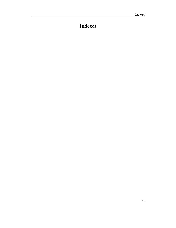## **Indexes**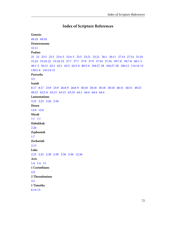## **Index of Scripture References**

```
Genesis
49:18   49:18  
Deuteronomy
32:11  
Psalms
25   25   25:3   25:3   25:4-5   25:4-5   25:5   25:21   25:21   26:1   26:11   27:14   27:14   31:24  
31:24   33:18-22   33:18-22   37:7   37:7   37:9   37:9   37:34   37:34   39:7-8   39:7-8   40:1-3  
40:1-3   56:12   62:1   62:1   62:5   62:5-6   80:5-6   104:27-28   104:27-28   106:13   114:14-15  
130:5-6   145:14-15  
Proverbs
3:5  
Isaiah
8:17   8:17   25:9   25:9   26:8-9   26:8-9   30:18   30:18   30:18   30:18   40:31   40:31   49:23  
49:23   62:5-6   63:15   63:15   63:19   64:1   64:4   64:4   64:4  
Lamentations
3:25   3:25   3:26   3:26  
Hosea
12:6   12:6  
Micah
7:7   7:7  
Habakkuk
2:20  
Zephaniah
1:7  
Zechariah
2:13  
Luke
2:25   2:25   2:38   2:38   3:36   3:36   12:36  
Acts
1:4   1:4   13  
1 Corinthians
2:9  
2 Thessalonians
3:5  
1 Timothy
6:14-15
```